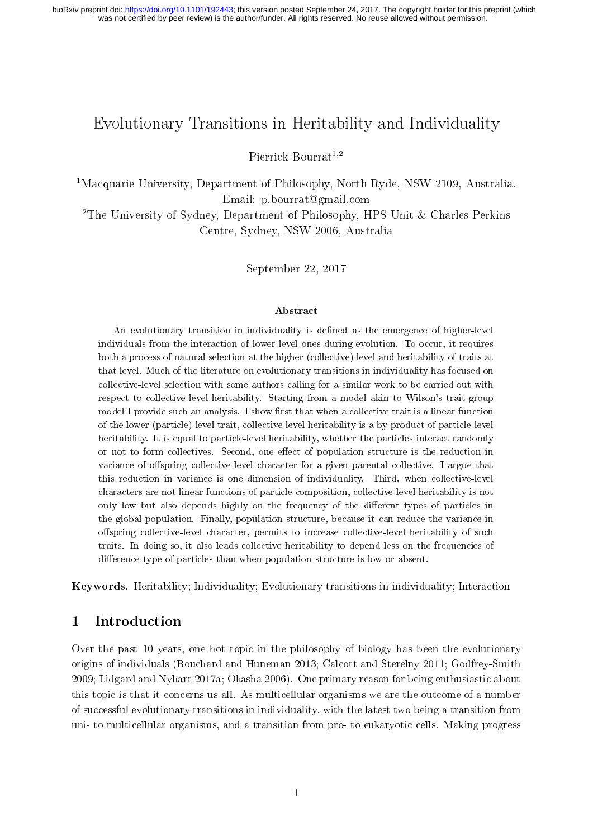was not certified by peer review) is the author/funder. All rights reserved. No reuse allowed without permission. bioRxiv preprint doi: [https://doi.org/10.1101/192443;](https://doi.org/10.1101/192443) this version posted September 24, 2017. The copyright holder for this preprint (which

# Evolutionary Transitions in Heritability and Individuality

Pierrick Bourrat<sup>1,2</sup>

<sup>1</sup>Macquarie University, Department of Philosophy, North Ryde, NSW 2109, Australia. Email: [p.bourrat@gmail.com](mailto:p.bourrat@gmail.com)

<sup>2</sup>The University of Sydney, Department of Philosophy, HPS Unit & Charles Perkins Centre, Sydney, NSW 2006, Australia

September 22, 2017

#### Abstract

An evolutionary transition in individuality is defined as the emergence of higher-level individuals from the interaction of lower-level ones during evolution. To occur, it requires both a process of natural selection at the higher (collective) level and heritability of traits at that level. Much of the literature on evolutionary transitions in individuality has focused on collective-level selection with some authors calling for a similar work to be carried out with respect to collective-level heritability. Starting from a model akin to Wilson's trait-group model I provide such an analysis. I show first that when a collective trait is a linear function of the lower (particle) level trait, collective-level heritability is a by-product of particle-level heritability. It is equal to particle-level heritability, whether the particles interact randomly or not to form collectives. Second, one effect of population structure is the reduction in variance of offspring collective-level character for a given parental collective. I argue that this reduction in variance is one dimension of individuality. Third, when collective-level characters are not linear functions of particle composition, collective-level heritability is not only low but also depends highly on the frequency of the different types of particles in the global population. Finally, population structure, because it can reduce the variance in offspring collective-level character, permits to increase collective-level heritability of such traits. In doing so, it also leads collective heritability to depend less on the frequencies of difference type of particles than when population structure is low or absent.

Keywords. Heritability; Individuality; Evolutionary transitions in individuality; Interaction

#### 1 Introduction

Over the past 10 years, one hot topic in the philosophy of biology has been the evolutionary origins of individuals (Bouchard and Huneman [2013;](#page-22-0) Calcott and Sterelny [2011;](#page-22-1) Godfrey-Smith [2009;](#page-23-0) Lidgard and Nyhart [2017a;](#page-23-1) Okasha [2006\)](#page-24-0). One primary reason for being enthusiastic about this topic is that it concerns us all. As multicellular organisms we are the outcome of a number of successful evolutionary transitions in individuality, with the latest two being a transition from uni- to multicellular organisms, and a transition from pro- to eukaryotic cells. Making progress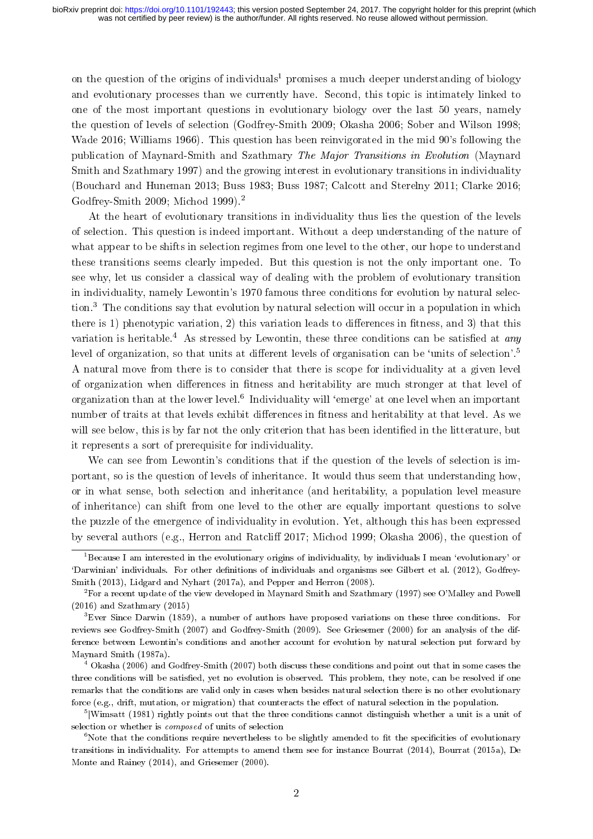on the question of the origins of individuals<sup>[1](#page-1-0)</sup> promises a much deeper understanding of biology and evolutionary processes than we currently have. Second, this topic is intimately linked to one of the most important questions in evolutionary biology over the last 50 years, namely the question of levels of selection (Godfrey-Smith [2009;](#page-23-0) Okasha [2006;](#page-24-0) Sober and Wilson [1998;](#page-24-1) Wade [2016;](#page-24-2) Williams [1966\)](#page-24-3). This question has been reinvigorated in the mid 90's following the publication of Maynard-Smith and Szathmary The Major Transitions in Evolution (Maynard Smith and Szathmary [1997\)](#page-23-2) and the growing interest in evolutionary transitions in individuality (Bouchard and Huneman [2013;](#page-22-0) Buss [1983;](#page-22-2) Buss [1987;](#page-22-3) Calcott and Sterelny [2011;](#page-22-1) Clarke [2016;](#page-22-4) Godfrey-Smith [2009;](#page-23-0) Michod [1999\)](#page-23-3).[2](#page-1-1)

At the heart of evolutionary transitions in individuality thus lies the question of the levels of selection. This question is indeed important. Without a deep understanding of the nature of what appear to be shifts in selection regimes from one level to the other, our hope to understand these transitions seems clearly impeded. But this question is not the only important one. To see why, let us consider a classical way of dealing with the problem of evolutionary transition in individuality, namely Lewontin's 1970 famous three conditions for evolution by natural selection.[3](#page-1-2) The conditions say that evolution by natural selection will occur in a population in which there is 1) phenotypic variation, 2) this variation leads to differences in fitness, and 3) that this variation is heritable.<sup>[4](#page-1-3)</sup> As stressed by Lewontin, these three conditions can be satisfied at *any* level of organization, so that units at different levels of organisation can be 'units of selection'.<sup>[5](#page-1-4)</sup> A natural move from there is to consider that there is scope for individuality at a given level of organization when differences in fitness and heritability are much stronger at that level of organization than at the lower level.<sup>[6](#page-1-5)</sup> Individuality will 'emerge' at one level when an important number of traits at that levels exhibit differences in fitness and heritability at that level. As we will see below, this is by far not the only criterion that has been identified in the litterature, but it represents a sort of prerequisite for individuality.

We can see from Lewontin's conditions that if the question of the levels of selection is important, so is the question of levels of inheritance. It would thus seem that understanding how, or in what sense, both selection and inheritance (and heritability, a population level measure of inheritance) can shift from one level to the other are equally important questions to solve the puzzle of the emergence of individuality in evolution. Yet, although this has been expressed by several authors (e.g., Herron and Ratcliff [2017;](#page-23-4) Michod [1999;](#page-23-3) Okasha [2006\)](#page-24-0), the question of

<span id="page-1-0"></span><sup>&</sup>lt;sup>1</sup>Because I am interested in the evolutionary origins of individuality, by individuals I mean 'evolutionary' or `Darwinian' individuals. For other denitions of individuals and organisms see Gilbert et al. [\(2012\)](#page-22-5), Godfrey-Smith [\(2013\)](#page-23-5), Lidgard and Nyhart [\(2017a\)](#page-23-1), and Pepper and Herron [\(2008\)](#page-24-4).

<span id="page-1-1"></span> ${}^{2}$ For a recent update of the view developed in Maynard Smith and Szathmary [\(1997\)](#page-23-2) see O'Malley and Powell [\(2016\)](#page-24-5) and Szathmary [\(2015\)](#page-24-6)

<span id="page-1-2"></span><sup>3</sup>Ever Since Darwin [\(1859\)](#page-22-6), a number of authors have proposed variations on these three conditions. For reviews see Godfrey-Smith [\(2007\)](#page-22-7) and Godfrey-Smith [\(2009\)](#page-23-0). See Griesemer [\(2000\)](#page-23-6) for an analysis of the difference between Lewontin's conditions and another account for evolution by natural selection put forward by Maynard Smith [\(1987a\)](#page-23-7).

<span id="page-1-3"></span> $^{4}$  Okasha [\(2006\)](#page-24-0) and Godfrey-Smith [\(2007\)](#page-22-7) both discuss these conditions and point out that in some cases the three conditions will be satised, yet no evolution is observed. This problem, they note, can be resolved if one remarks that the conditions are valid only in cases when besides natural selection there is no other evolutionary force (e.g., drift, mutation, or migration) that counteracts the effect of natural selection in the population.

<span id="page-1-4"></span><sup>&</sup>lt;sup>5</sup> Wimsatt [\(1981\)](#page-24-7) rightly points out that the three conditions cannot distinguish whether a unit is a unit of selection or whether is composed of units of selection

<span id="page-1-5"></span> $6N$ ote that the conditions require nevertheless to be slightly amended to fit the specificities of evolutionary transitions in individuality. For attempts to amend them see for instance Bourrat [\(2014\)](#page-22-8), Bourrat [\(2015a\)](#page-22-9), De Monte and Rainey [\(2014\)](#page-22-10), and Griesemer [\(2000\)](#page-23-6).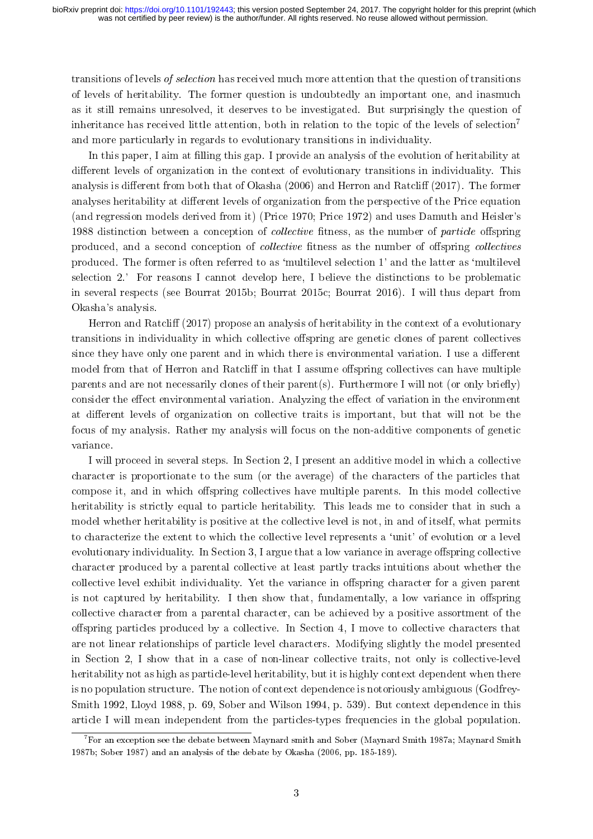transitions of levels of selection has received much more attention that the question of transitions of levels of heritability. The former question is undoubtedly an important one, and inasmuch as it still remains unresolved, it deserves to be investigated. But surprisingly the question of inheritance has received little attention, both in relation to the topic of the levels of selection<sup>[7](#page-2-0)</sup> and more particularly in regards to evolutionary transitions in individuality.

In this paper, I aim at filling this gap. I provide an analysis of the evolution of heritability at different levels of organization in the context of evolutionary transitions in individuality. This analysis is different from both that of Okasha [\(2006\)](#page-24-0) and Herron and Ratcliff [\(2017\)](#page-23-4). The former analyses heritability at different levels of organization from the perspective of the Price equation (and regression models derived from it) (Price [1970;](#page-24-8) Price [1972\)](#page-24-9) and uses Damuth and Heisler's 1988 distinction between a conception of *collective* fitness, as the number of *particle* offspring produced, and a second conception of *collective* fitness as the number of offspring *collectives* produced. The former is often referred to as `multilevel selection 1' and the latter as `multilevel selection 2.' For reasons I cannot develop here, I believe the distinctions to be problematic in several respects (see Bourrat [2015b;](#page-22-11) Bourrat [2015c;](#page-22-12) Bourrat [2016\)](#page-22-13). I will thus depart from Okasha's analysis.

Herron and Ratcliff  $(2017)$  propose an analysis of heritability in the context of a evolutionary transitions in individuality in which collective offspring are genetic clones of parent collectives since they have only one parent and in which there is environmental variation. I use a different model from that of Herron and Ratcliff in that I assume offspring collectives can have multiple parents and are not necessarily clones of their parent(s). Furthermore I will not (or only briefly) consider the effect environmental variation. Analyzing the effect of variation in the environment at different levels of organization on collective traits is important, but that will not be the focus of my analysis. Rather my analysis will focus on the non-additive components of genetic variance.

I will proceed in several steps. In Section [2,](#page-3-0) I present an additive model in which a collective character is proportionate to the sum (or the average) of the characters of the particles that compose it, and in which offspring collectives have multiple parents. In this model collective heritability is strictly equal to particle heritability. This leads me to consider that in such a model whether heritability is positive at the collective level is not, in and of itself, what permits to characterize the extent to which the collective level represents a 'unit' of evolution or a level evolutionary individuality. In Section [3,](#page-8-0) I argue that a low variance in average offspring collective character produced by a parental collective at least partly tracks intuitions about whether the collective level exhibit individuality. Yet the variance in offspring character for a given parent is not captured by heritability. I then show that, fundamentally, a low variance in offspring collective character from a parental character, can be achieved by a positive assortment of the offspring particles produced by a collective. In Section [4,](#page-11-0) I move to collective characters that are not linear relationships of particle level characters. Modifying slightly the model presented in Section [2,](#page-3-0) I show that in a case of non-linear collective traits, not only is collective-level heritability not as high as particle-level heritability, but it is highly context dependent when there is no population structure. The notion of context dependence is notoriously ambiguous (Godfrey-Smith [1992,](#page-22-14) Lloyd [1988,](#page-23-8) p. 69, Sober and Wilson [1994,](#page-24-10) p. 539). But context dependence in this article I will mean independent from the particles-types frequencies in the global population.

<span id="page-2-0"></span> $^7$ For an exception see the debate between Maynard smith and Sober (Maynard Smith [1987a;](#page-23-7) Maynard Smith [1987b;](#page-23-9) Sober [1987\)](#page-24-11) and an analysis of the debate by Okasha [\(2006,](#page-24-0) pp. 185-189).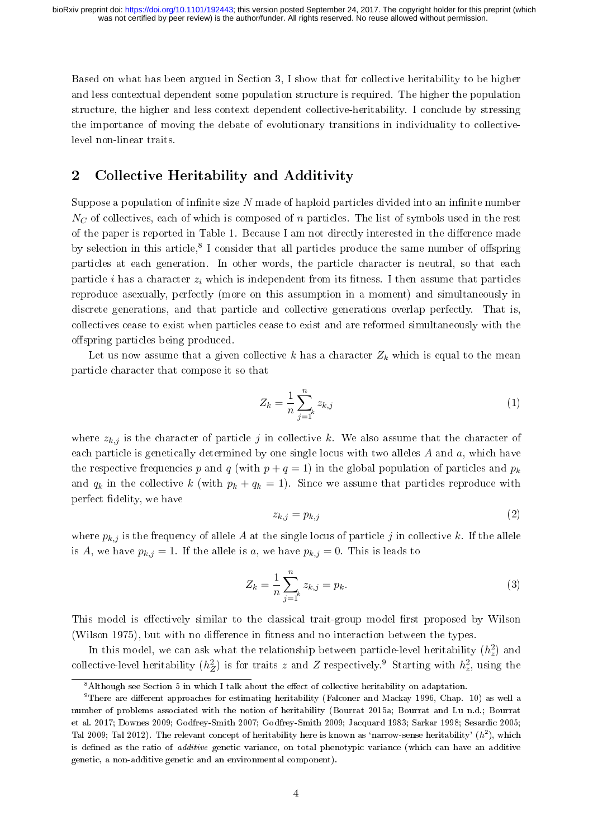Based on what has been argued in Section [3,](#page-8-0) I show that for collective heritability to be higher and less contextual dependent some population structure is required. The higher the population structure, the higher and less context dependent collective-heritability. I conclude by stressing the importance of moving the debate of evolutionary transitions in individuality to collectivelevel non-linear traits.

### <span id="page-3-0"></span>2 Collective Heritability and Additivity

Suppose a population of infinite size  $N$  made of haploid particles divided into an infinite number  $N<sub>C</sub>$  of collectives, each of which is composed of n particles. The list of symbols used in the rest of the paper is reported in Table [1.](#page-4-0) Because I am not directly interested in the difference made by selection in this article,<sup>[8](#page-3-1)</sup> I consider that all particles produce the same number of offspring particles at each generation. In other words, the particle character is neutral, so that each particle i has a character  $z_i$  which is independent from its fitness. I then assume that particles reproduce asexually, perfectly (more on this assumption in a moment) and simultaneously in discrete generations, and that particle and collective generations overlap perfectly. That is, collectives cease to exist when particles cease to exist and are reformed simultaneously with the offspring particles being produced.

Let us now assume that a given collective k has a character  $Z_k$  which is equal to the mean particle character that compose it so that

$$
Z_k = \frac{1}{n} \sum_{j=1}^n z_{k,j} \tag{1}
$$

where  $z_{k,j}$  is the character of particle j in collective k. We also assume that the character of each particle is genetically determined by one single locus with two alleles  $A$  and  $a$ , which have the respective frequencies p and q (with  $p + q = 1$ ) in the global population of particles and  $p_k$ and  $q_k$  in the collective k (with  $p_k + q_k = 1$ ). Since we assume that particles reproduce with perfect delity, we have

$$
z_{k,j} = p_{k,j} \tag{2}
$$

where  $p_{k,j}$  is the frequency of allele A at the single locus of particle j in collective k. If the allele is A, we have  $p_{k,j} = 1$ . If the allele is a, we have  $p_{k,j} = 0$ . This is leads to

<span id="page-3-3"></span>
$$
Z_k = \frac{1}{n} \sum_{j=1}^n z_{k,j} = p_k.
$$
 (3)

This model is effectively similar to the classical trait-group model first proposed by Wilson (Wilson [1975\)](#page-24-12), but with no difference in fitness and no interaction between the types.

In this model, we can ask what the relationship between particle-level heritability  $(h_z^2)$  and collective-level heritability  $(h_Z^2)$  is for traits z and Z respectively.<sup>[9](#page-3-2)</sup> Starting with  $h_z^2$ , using the

<span id="page-3-2"></span><span id="page-3-1"></span> $8$ Although see Section [5](#page-16-0) in which I talk about the effect of collective heritability on adaptation.

 $9$ There are different approaches for estimating heritability (Falconer and Mackay [1996,](#page-22-15) Chap. 10) as well a number of problems associated with the notion of heritability (Bourrat [2015a;](#page-22-9) Bourrat and Lu [n.d.;](#page-22-16) Bourrat et al. [2017;](#page-22-17) Downes [2009;](#page-22-18) Godfrey-Smith [2007;](#page-22-7) Godfrey-Smith [2009;](#page-23-0) Jacquard [1983;](#page-23-10) Sarkar [1998;](#page-24-13) Sesardic [2005;](#page-24-14) Tal [2009;](#page-24-15) Tal [2012\)](#page-24-16). The relevant concept of heritability here is known as 'narrow-sense heritability'  $(h^2)$ , which is defined as the ratio of *additive* genetic variance, on total phenotypic variance (which can have an additive genetic, a non-additive genetic and an environmental component).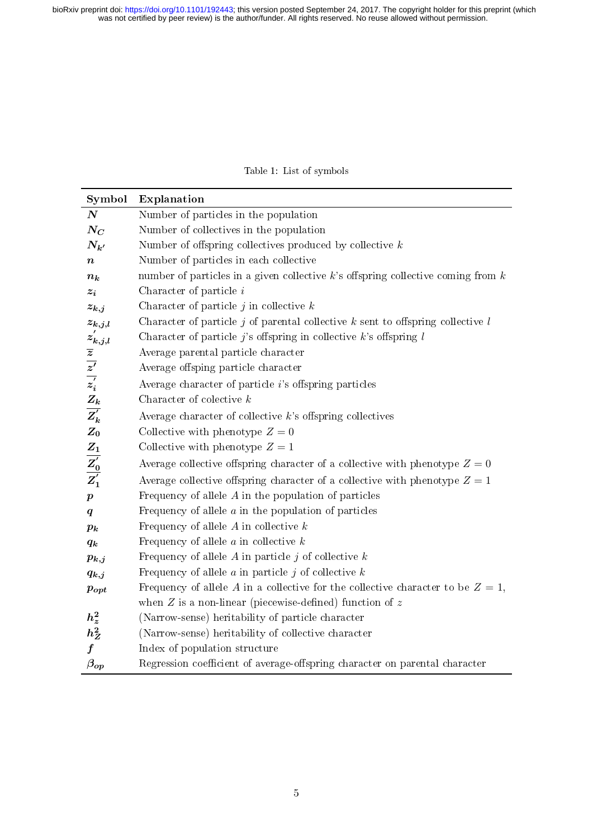Table 1: List of symbols

<span id="page-4-0"></span>

| Symbol                                                                                                                                                                         | Explanation                                                                           |
|--------------------------------------------------------------------------------------------------------------------------------------------------------------------------------|---------------------------------------------------------------------------------------|
| $\boldsymbol{N}$                                                                                                                                                               | Number of particles in the population                                                 |
| $N_{\scriptstyle C}$                                                                                                                                                           | Number of collectives in the population                                               |
| $N_{k'}$                                                                                                                                                                       | Number of offspring collectives produced by collective $k$                            |
| $\pmb{n}$                                                                                                                                                                      | Number of particles in each collective                                                |
| $n_k$                                                                                                                                                                          | number of particles in a given collective $k$ 's offspring collective coming from $k$ |
| $z_i$                                                                                                                                                                          | Character of particle $i$                                                             |
| $z_{k,j}$                                                                                                                                                                      | Character of particle $j$ in collective $k$                                           |
|                                                                                                                                                                                | Character of particle j of parental collective $k$ sent to offspring collective $l$   |
|                                                                                                                                                                                | Character of particle j's offspring in collective $k$ 's offspring $l$                |
|                                                                                                                                                                                | Average parental particle character                                                   |
|                                                                                                                                                                                | Average offsping particle character                                                   |
|                                                                                                                                                                                | Average character of particle $i$ 's offspring particles                              |
|                                                                                                                                                                                | Character of colective $k$                                                            |
| $z_{k,j,l} \ z_{k,j,l} \ \overline{z}_{\overline{z}'} \ \overline{z}_{\overline{i}} \ \overline{z}_{\overline{i}} \ \overline{z}_{\overline{k}} \ \overline{z}_{\overline{k}}$ | Average character of collective $k$ 's offspring collectives                          |
| $Z_0$                                                                                                                                                                          | Collective with phenotype $Z=0$                                                       |
|                                                                                                                                                                                | Collective with phenotype $Z=1$                                                       |
| $\frac{Z_1}{Z_0'}$                                                                                                                                                             | Average collective offspring character of a collective with phenotype $Z=0$           |
|                                                                                                                                                                                | Average collective offspring character of a collective with phenotype $Z = 1$         |
| $\boldsymbol{p}$                                                                                                                                                               | Frequency of allele $A$ in the population of particles                                |
| $\boldsymbol{q}$                                                                                                                                                               | Frequency of allele $a$ in the population of particles                                |
| $p_k$                                                                                                                                                                          | Frequency of allele $A$ in collective $k$                                             |
| $q_k$                                                                                                                                                                          | Frequency of allele $a$ in collective $k$                                             |
| $p_{k,j}$                                                                                                                                                                      | Frequency of allele A in particle j of collective $k$                                 |
| $q_{k,j}$                                                                                                                                                                      | Frequency of allele $a$ in particle $j$ of collective $k$                             |
| $\boldsymbol{p_{opt}}$                                                                                                                                                         | Frequency of allele A in a collective for the collective character to be $Z=1$ ,      |
|                                                                                                                                                                                | when $Z$ is a non-linear (piecewise-defined) function of $z$                          |
| $\begin{array}{c} h_z^2 \\ h_Z^2 \end{array}$                                                                                                                                  | (Narrow-sense) heritability of particle character                                     |
|                                                                                                                                                                                | (Narrow-sense) heritability of collective character                                   |
| $\overline{f}$                                                                                                                                                                 | Index of population structure                                                         |
| $\beta_{op}$                                                                                                                                                                   | Regression coefficient of average-offspring character on parental character           |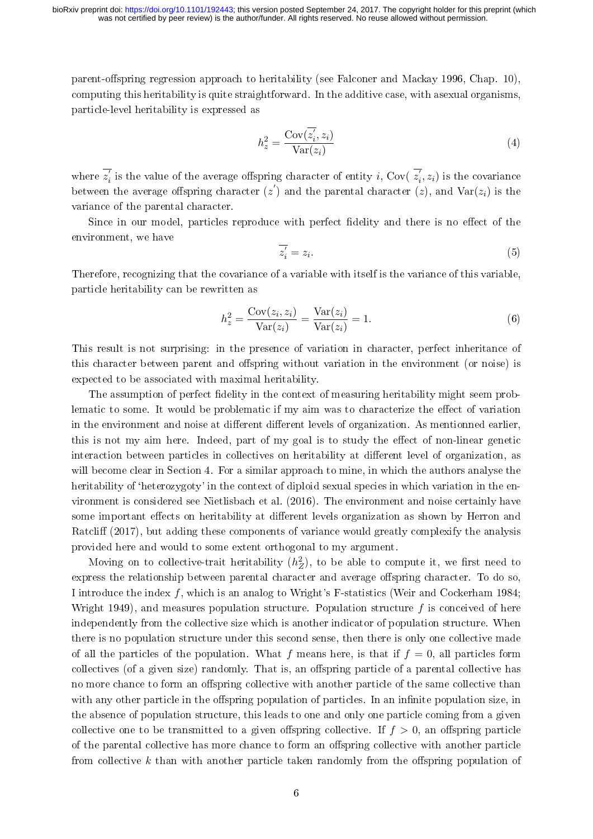was not certified by peer review) is the author/funder. All rights reserved. No reuse allowed without permission. bioRxiv preprint doi: [https://doi.org/10.1101/192443;](https://doi.org/10.1101/192443) this version posted September 24, 2017. The copyright holder for this preprint (which

parent-offspring regression approach to heritability (see Falconer and Mackay [1996,](#page-22-15) Chap. 10), computing this heritability is quite straightforward. In the additive case, with asexual organisms, particle-level heritability is expressed as

$$
h_z^2 = \frac{\text{Cov}(\overline{z_i}, z_i)}{\text{Var}(z_i)}\tag{4}
$$

where  $\overline{z_i'}$  is the value of the average offspring character of entity i, Cov( $\overline{z_i}, z_i$ ) is the covariance between the average offspring character  $(z')$  and the parental character  $(z)$ , and  $\text{Var}(z_i)$  is the variance of the parental character.

Since in our model, particles reproduce with perfect fidelity and there is no effect of the environment, we have

$$
\overline{z_i'} = z_i. \tag{5}
$$

Therefore, recognizing that the covariance of a variable with itself is the variance of this variable, particle heritability can be rewritten as

$$
h_z^2 = \frac{\text{Cov}(z_i, z_i)}{\text{Var}(z_i)} = \frac{\text{Var}(z_i)}{\text{Var}(z_i)} = 1.
$$
 (6)

This result is not surprising: in the presence of variation in character, perfect inheritance of this character between parent and offspring without variation in the environment (or noise) is expected to be associated with maximal heritability.

The assumption of perfect delity in the context of measuring heritability might seem problematic to some. It would be problematic if my aim was to characterize the effect of variation in the environment and noise at different different levels of organization. As mentionned earlier, this is not my aim here. Indeed, part of my goal is to study the effect of non-linear genetic interaction between particles in collectives on heritability at different level of organization, as will become clear in Section [4.](#page-11-0) For a similar approach to mine, in which the authors analyse the heritability of 'heterozygoty' in the context of diploid sexual species in which variation in the environment is considered see Nietlisbach et al. [\(2016\)](#page-23-11). The environment and noise certainly have some important effects on heritability at different levels organization as shown by Herron and Ratcliff [\(2017\)](#page-23-4), but adding these components of variance would greatly complexify the analysis provided here and would to some extent orthogonal to my argument.

Moving on to collective-trait heritability  $(h_Z^2)$ , to be able to compute it, we first need to express the relationship between parental character and average offspring character. To do so, I introduce the index  $f$ , which is an analog to Wright's F-statistics (Weir and Cockerham [1984;](#page-24-17) Wright [1949\)](#page-24-18), and measures population structure. Population structure  $f$  is conceived of here independently from the collective size which is another indicator of population structure. When there is no population structure under this second sense, then there is only one collective made of all the particles of the population. What f means here, is that if  $f = 0$ , all particles form collectives (of a given size) randomly. That is, an offspring particle of a parental collective has no more chance to form an offspring collective with another particle of the same collective than with any other particle in the offspring population of particles. In an infinite population size, in the absence of population structure, this leads to one and only one particle coming from a given collective one to be transmitted to a given offspring collective. If  $f > 0$ , an offspring particle of the parental collective has more chance to form an offspring collective with another particle from collective k than with another particle taken randomly from the offspring population of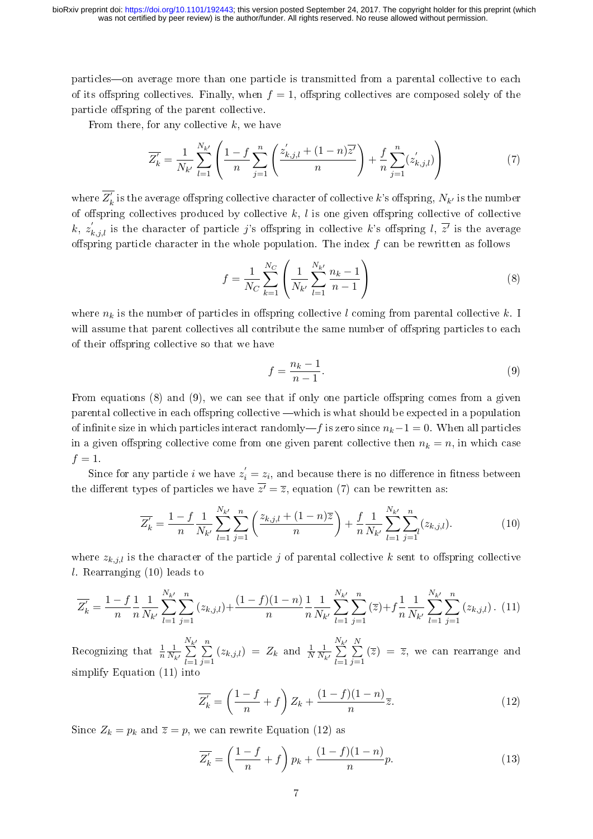particles—on average more than one particle is transmitted from a parental collective to each of its offspring collectives. Finally, when  $f = 1$ , offspring collectives are composed solely of the particle offspring of the parent collective.

From there, for any collective  $k$ , we have

<span id="page-6-2"></span>
$$
\overline{Z'_k} = \frac{1}{N_{k'}} \sum_{l=1}^{N_{k'}} \left( \frac{1-f}{n} \sum_{j=1}^n \left( \frac{z'_{k,j,l} + (1-n)\overline{z'}}{n} \right) + \frac{f}{n} \sum_{j=1}^n (z'_{k,j,l}) \right) \tag{7}
$$

where  $\overline{Z'_k}$  $\mathbf{k}^{'}$  is the average offspring collective character of collective  $k$ 's offspring,  $N_{k'}$  is the number of offspring collectives produced by collective  $k, l$  is one given offspring collective of collective k,  $z'_{k,j,l}$  is the character of particle j's offspring in collective k's offspring l,  $\overline{z'}$  is the average offspring particle character in the whole population. The index  $f$  can be rewritten as follows

<span id="page-6-0"></span>
$$
f = \frac{1}{N_C} \sum_{k=1}^{N_C} \left( \frac{1}{N_{k'}} \sum_{l=1}^{N_{k'}} \frac{n_k - 1}{n - 1} \right)
$$
 (8)

where  $n_k$  is the number of particles in offspring collective l coming from parental collective k. I will assume that parent collectives all contribute the same number of offspring particles to each of their offspring collective so that we have

<span id="page-6-1"></span>
$$
f = \frac{n_k - 1}{n - 1}.\tag{9}
$$

From equations  $(8)$  and  $(9)$ , we can see that if only one particle offspring comes from a given parental collective in each offspring collective —which is what should be expected in a population of infinite size in which particles interact randomly—f is zero since  $n_k-1 = 0$ . When all particles in a given offspring collective come from one given parent collective then  $n_k = n$ , in which case  $f=1$ .

Since for any particle *i* we have  $z_i' = z_i$ , and because there is no difference in fitness between the different types of particles we have  $\overline{z'} = \overline{z}$ , equation [\(7\)](#page-6-2) can be rewritten as:

<span id="page-6-3"></span>
$$
\overline{Z'_k} = \frac{1 - f}{n} \frac{1}{N_{k'}} \sum_{l=1}^{N_{k'}} \sum_{j=1}^n \left( \frac{z_{k,j,l} + (1 - n)\overline{z}}{n} \right) + \frac{f}{n} \frac{1}{N_{k'}} \sum_{l=1}^{N_{k'}} \sum_{j=1}^n (z_{k,j,l}).\tag{10}
$$

where  $z_{k,j,l}$  is the character of the particle j of parental collective k sent to offspring collective l. Rearranging [\(10\)](#page-6-3) leads to

<span id="page-6-4"></span>
$$
\overline{Z'_k} = \frac{1-f}{n} \frac{1}{n} \frac{1}{N_{k'}} \sum_{l=1}^{N_{k'}} \sum_{j=1}^n (z_{k,j,l}) + \frac{(1-f)(1-n)}{n} \frac{1}{n} \frac{1}{N_{k'}} \sum_{l=1}^{N_{k'}} \sum_{j=1}^n (\overline{z}) + f \frac{1}{n} \frac{1}{N_{k'}} \sum_{l=1}^{N_{k'}} \sum_{j=1}^n (z_{k,j,l}).
$$
 (11)

Recognizing that  $\frac{1}{n}$ 1  $\overline{N^{}_{k^{\prime}}}$  $\frac{N_{k'}}{\sum}$  $_{l=1}$  $\sum_{n=1}^{\infty}$  $j=1$  $(z_{k,j,l}) = Z_k$  and  $\frac{1}{N}$ 1  $\overline{N_{k}}$  $\frac{N_{k'}}{\sum}$  $_{l=1}$  $\sum_{i=1}^{N}$  $j=1$  $(\overline{z}) = \overline{z}$ , we can rearrange and simplify Equation [\(11\)](#page-6-4) into

<span id="page-6-5"></span>
$$
\overline{Z'_k} = \left(\frac{1-f}{n} + f\right) Z_k + \frac{(1-f)(1-n)}{n} \overline{z}.
$$
\n(12)

Since  $Z_k = p_k$  and  $\overline{z} = p$ , we can rewrite Equation [\(12\)](#page-6-5) as

<span id="page-6-6"></span>
$$
\overline{Z'_k} = \left(\frac{1-f}{n} + f\right)p_k + \frac{(1-f)(1-n)}{n}p.\tag{13}
$$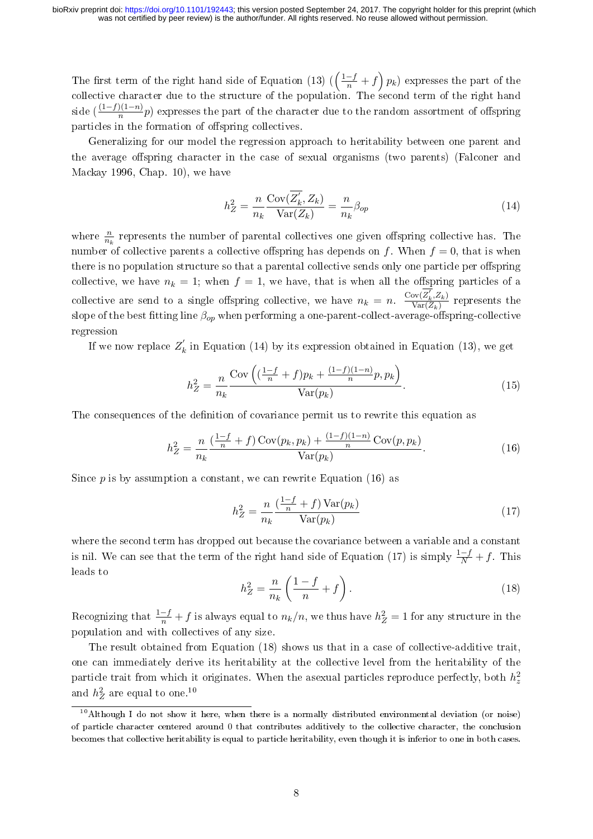The first term of the right hand side of Equation [\(13\)](#page-6-6)  $(\left(\frac{1-f}{n}+f\right)p_k)$  expresses the part of the collective character due to the structure of the population. The second term of the right hand side  $(\frac{(1-f)(1-n)}{n}p)$  expresses the part of the character due to the random assortment of offspring particles in the formation of offspring collectives.

Generalizing for our model the regression approach to heritability between one parent and the average offspring character in the case of sexual organisms (two parents) (Falconer and Mackay [1996,](#page-22-15) Chap. 10), we have

<span id="page-7-0"></span>
$$
h_Z^2 = \frac{n}{n_k} \frac{\text{Cov}(\overline{Z_k}, Z_k)}{\text{Var}(Z_k)} = \frac{n}{n_k} \beta_{op}
$$
(14)

where  $\frac{n}{n_k}$  represents the number of parental collectives one given offspring collective has. The number of collective parents a collective offspring has depends on f. When  $f = 0$ , that is when there is no population structure so that a parental collective sends only one particle per offspring collective, we have  $n_k = 1$ ; when  $f = 1$ , we have, that is when all the offspring particles of a collective are send to a single offspring collective, we have  $n_k = n$ .  $\frac{\text{Cov}(\overline{Z'_k}, Z_k)}{\text{Var}(\overline{Z_k})}$  $\frac{\partial v(Z_k, Z_k)}{\partial \text{Var}(Z_k)}$  represents the slope of the best fitting line  $\beta_{op}$  when performing a one-parent-collect-average-offspring-collective regression

If we now replace  $Z'_k$  $\tilde{k}$  in Equation [\(14\)](#page-7-0) by its expression obtained in Equation [\(13\)](#page-6-6), we get

$$
h_Z^2 = \frac{n}{n_k} \frac{\text{Cov}\left( (\frac{1-f}{n} + f)p_k + \frac{(1-f)(1-n)}{n}p, p_k \right)}{\text{Var}(p_k)}.
$$
(15)

The consequences of the definition of covariance permit us to rewrite this equation as

<span id="page-7-1"></span>
$$
h_Z^2 = \frac{n}{n_k} \frac{\left(\frac{1-f}{n} + f\right) \text{Cov}(p_k, p_k) + \frac{(1-f)(1-n)}{n} \text{Cov}(p, p_k)}{\text{Var}(p_k)}.
$$
(16)

Since  $p$  is by assumption a constant, we can rewrite Equation [\(16\)](#page-7-1) as

<span id="page-7-2"></span>
$$
h_Z^2 = \frac{n}{n_k} \frac{\left(\frac{1-f}{n} + f\right) \text{Var}(p_k)}{\text{Var}(p_k)}\tag{17}
$$

where the second term has dropped out because the covariance between a variable and a constant is nil. We can see that the term of the right hand side of Equation [\(17\)](#page-7-2) is simply  $\frac{1-f}{N} + f$ . This leads to

<span id="page-7-3"></span>
$$
h_Z^2 = \frac{n}{n_k} \left( \frac{1 - f}{n} + f \right). \tag{18}
$$

Recognizing that  $\frac{1-f}{n} + f$  is always equal to  $n_k/n$ , we thus have  $h_Z^2 = 1$  for any structure in the population and with collectives of any size.

The result obtained from Equation [\(18\)](#page-7-3) shows us that in a case of collective-additive trait, one can immediately derive its heritability at the collective level from the heritability of the particle trait from which it originates. When the asexual particles reproduce perfectly, both  $h_z^2$ and  $h^2_Z$  are equal to one.<sup>[10](#page-7-4)</sup>

<span id="page-7-4"></span><sup>10</sup>Although I do not show it here, when there is a normally distributed environmental deviation (or noise) of particle character centered around 0 that contributes additively to the collective character, the conclusion becomes that collective heritability is equal to particle heritability, even though it is inferior to one in both cases.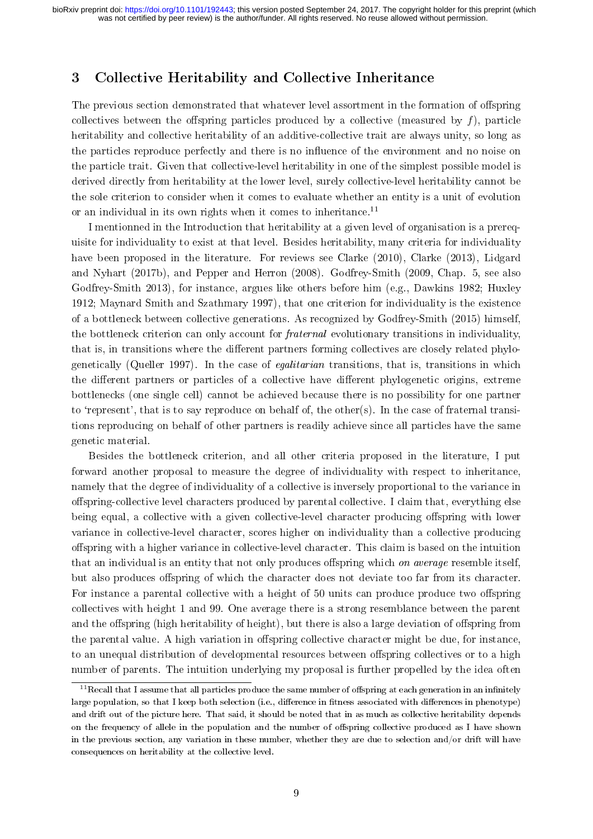### <span id="page-8-0"></span>3 Collective Heritability and Collective Inheritance

The previous section demonstrated that whatever level assortment in the formation of offspring collectives between the offspring particles produced by a collective (measured by  $f$ ), particle heritability and collective heritability of an additive-collective trait are always unity, so long as the particles reproduce perfectly and there is no influence of the environment and no noise on the particle trait. Given that collective-level heritability in one of the simplest possible model is derived directly from heritability at the lower level, surely collective-level heritability cannot be the sole criterion to consider when it comes to evaluate whether an entity is a unit of evolution or an individual in its own rights when it comes to inheritance.<sup>[11](#page-8-1)</sup>

I mentionned in the Introduction that heritability at a given level of organisation is a prerequisite for individuality to exist at that level. Besides heritability, many criteria for individuality have been proposed in the literature. For reviews see Clarke [\(2010\)](#page-22-19), Clarke [\(2013\)](#page-22-20), Lidgard and Nyhart [\(2017b\)](#page-23-12), and Pepper and Herron [\(2008\)](#page-24-4). Godfrey-Smith (2009, Chap. 5, see also Godfrey-Smith [2013\)](#page-23-5), for instance, argues like others before him (e.g., Dawkins [1982;](#page-22-21) Huxley [1912;](#page-23-13) Maynard Smith and Szathmary [1997\)](#page-23-2), that one criterion for individuality is the existence of a bottleneck between collective generations. As recognized by Godfrey-Smith [\(2015\)](#page-23-14) himself, the bottleneck criterion can only account for fraternal evolutionary transitions in individuality, that is, in transitions where the different partners forming collectives are closely related phylogenetically (Queller [1997\)](#page-24-19). In the case of egalitarian transitions, that is, transitions in which the different partners or particles of a collective have different phylogenetic origins, extreme bottlenecks (one single cell) cannot be achieved because there is no possibility for one partner to 'represent', that is to say reproduce on behalf of, the other(s). In the case of fraternal transitions reproducing on behalf of other partners is readily achieve since all particles have the same genetic material.

Besides the bottleneck criterion, and all other criteria proposed in the literature, I put forward another proposal to measure the degree of individuality with respect to inheritance, namely that the degree of individuality of a collective is inversely proportional to the variance in offspring-collective level characters produced by parental collective. I claim that, everything else being equal, a collective with a given collective-level character producing offspring with lower variance in collective-level character, scores higher on individuality than a collective producing offspring with a higher variance in collective-level character. This claim is based on the intuition that an individual is an entity that not only produces offspring which *on average* resemble itself, but also produces offspring of which the character does not deviate too far from its character. For instance a parental collective with a height of 50 units can produce produce two offspring collectives with height 1 and 99. One average there is a strong resemblance between the parent and the offspring (high heritability of height), but there is also a large deviation of offspring from the parental value. A high variation in offspring collective character might be due, for instance, to an unequal distribution of developmental resources between offspring collectives or to a high number of parents. The intuition underlying my proposal is further propelled by the idea often

<span id="page-8-1"></span> $11$ Recall that I assume that all particles produce the same number of offspring at each generation in an infinitely large population, so that I keep both selection (i.e., difference in fitness associated with differences in phenotype) and drift out of the picture here. That said, it should be noted that in as much as collective heritability depends on the frequency of allele in the population and the number of offspring collective produced as I have shown in the previous section, any variation in these number, whether they are due to selection and/or drift will have consequences on heritability at the collective level.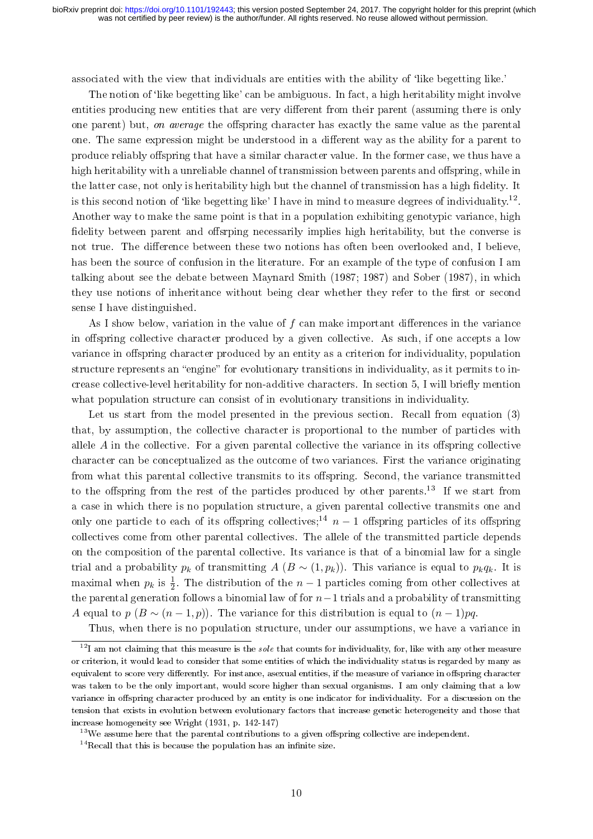associated with the view that individuals are entities with the ability of 'like begetting like.'

The notion of 'like begetting like' can be ambiguous. In fact, a high heritability might involve entities producing new entities that are very different from their parent (assuming there is only one parent) but, on average the offspring character has exactly the same value as the parental one. The same expression might be understood in a different way as the ability for a parent to produce reliably offspring that have a similar character value. In the former case, we thus have a high heritability with a unreliable channel of transmission between parents and offspring, while in the latter case, not only is heritability high but the channel of transmission has a high delity. It is this second notion of 'like begetting like' I have in mind to measure degrees of individuality.<sup>[12](#page-9-0)</sup>. Another way to make the same point is that in a population exhibiting genotypic variance, high fidelity between parent and offsrping necessarily implies high heritability, but the converse is not true. The difference between these two notions has often been overlooked and, I believe, has been the source of confusion in the literature. For an example of the type of confusion I am talking about see the debate between Maynard Smith (1987; 1987) and Sober [\(1987\)](#page-24-11), in which they use notions of inheritance without being clear whether they refer to the first or second sense I have distinguished.

As I show below, variation in the value of  $f$  can make important differences in the variance in offspring collective character produced by a given collective. As such, if one accepts a low variance in offspring character produced by an entity as a criterion for individuality, population structure represents an "engine" for evolutionary transitions in individuality, as it permits to in-crease collective-level heritability for non-additive characters. In section [5,](#page-16-0) I will briefly mention what population structure can consist of in evolutionary transitions in individuality.

Let us start from the model presented in the previous section. Recall from equation [\(3\)](#page-3-3) that, by assumption, the collective character is proportional to the number of particles with allele  $A$  in the collective. For a given parental collective the variance in its offspring collective character can be conceptualized as the outcome of two variances. First the variance originating from what this parental collective transmits to its offspring. Second, the variance transmitted to the offspring from the rest of the particles produced by other parents.<sup>[13](#page-9-1)</sup> If we start from a case in which there is no population structure, a given parental collective transmits one and only one particle to each of its offspring collectives;<sup>[14](#page-9-2)</sup>  $n-1$  offspring particles of its offspring collectives come from other parental collectives. The allele of the transmitted particle depends on the composition of the parental collective. Its variance is that of a binomial law for a single trial and a probability  $p_k$  of transmitting  $A (B \sim (1, p_k))$ . This variance is equal to  $p_k q_k$ . It is maximal when  $p_k$  is  $\frac{1}{2}$ . The distribution of the  $n-1$  particles coming from other collectives at the parental generation follows a binomial law of for  $n-1$  trials and a probability of transmitting A equal to p  $(B \sim (n-1, p))$ . The variance for this distribution is equal to  $(n-1)pq$ .

<span id="page-9-0"></span>Thus, when there is no population structure, under our assumptions, we have a variance in

 $12$ I am not claiming that this measure is the sole that counts for individuality, for, like with any other measure or criterion, it would lead to consider that some entities of which the individuality status is regarded by many as equivalent to score very differently. For instance, asexual entities, if the measure of variance in offspring character was taken to be the only important, would score higher than sexual organisms. I am only claiming that a low variance in offspring character produced by an entity is one indicator for individuality. For a discussion on the tension that exists in evolution between evolutionary factors that increase genetic heterogeneity and those that increase homogeneity see Wright [\(1931,](#page-24-20) p. 142-147)

<span id="page-9-2"></span><span id="page-9-1"></span> $13$ We assume here that the parental contributions to a given offspring collective are independent.

 $14$ Recall that this is because the population has an infinite size.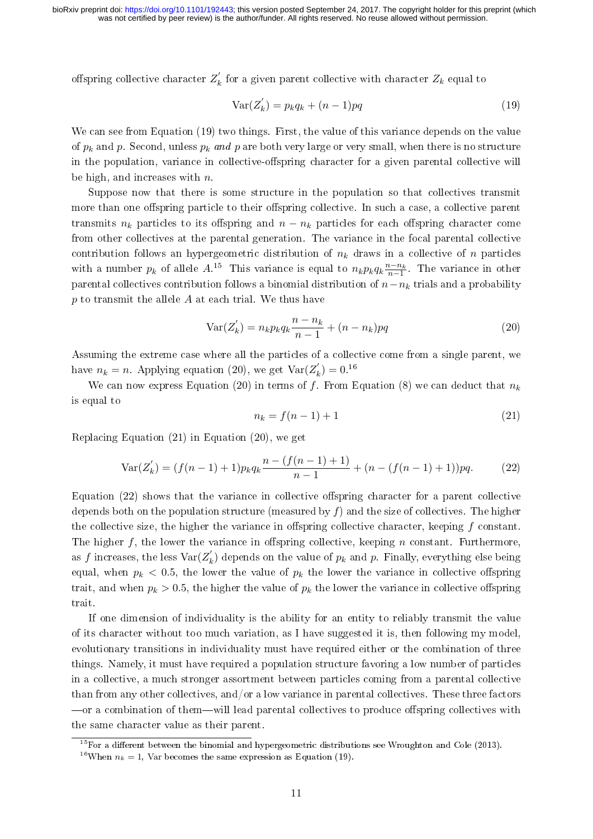offspring collective character  $Z'_{k}$  $\mathbf{z}_k^{\prime}$  for a given parent collective with character  $Z_k$  equal to

<span id="page-10-0"></span>
$$
\text{Var}(Z'_k) = p_k q_k + (n-1)pq \tag{19}
$$

We can see from Equation [\(19\)](#page-10-0) two things. First, the value of this variance depends on the value of  $p_k$  and p. Second, unless  $p_k$  and p are both very large or very small, when there is no structure in the population, variance in collective-offspring character for a given parental collective will be high, and increases with  $n$ .

Suppose now that there is some structure in the population so that collectives transmit more than one offspring particle to their offspring collective. In such a case, a collective parent transmits  $n_k$  particles to its offspring and  $n - n_k$  particles for each offspring character come from other collectives at the parental generation. The variance in the focal parental collective contribution follows an hypergeometric distribution of  $n_k$  draws in a collective of n particles with a number  $p_k$  of allele  $A<sup>15</sup>$  $A<sup>15</sup>$  $A<sup>15</sup>$ . This variance is equal to  $n_k p_k q_k \frac{n-n_k}{n-1}$ . The variance in other parental collectives contribution follows a binomial distribution of  $n-n_k$  trials and a probability  $p$  to transmit the allele  $A$  at each trial. We thus have

<span id="page-10-2"></span>
$$
Var(Z'_{k}) = n_{k} p_{k} q_{k} \frac{n - n_{k}}{n - 1} + (n - n_{k}) p q
$$
\n(20)

Assuming the extreme case where all the particles of a collective come from a single parent, we have  $n_k = n$ . Applying equation [\(20\)](#page-10-2), we get  $\text{Var}(Z_k)$  $k'_{k}$ ) = 0.<sup>[16](#page-10-3)</sup>

We can now express Equation [\(20\)](#page-10-2) in terms of f. From Equation [\(8\)](#page-6-0) we can deduct that  $n_k$ is equal to

<span id="page-10-4"></span>
$$
n_k = f(n-1) + 1
$$
\n(21)

Replacing Equation [\(21\)](#page-10-4) in Equation [\(20\)](#page-10-2), we get

<span id="page-10-5"></span>
$$
\text{Var}(Z'_k) = (f(n-1)+1)p_k q_k \frac{n - (f(n-1)+1)}{n-1} + (n - (f(n-1)+1))pq. \tag{22}
$$

Equation  $(22)$  shows that the variance in collective offspring character for a parent collective depends both on the population structure (measured by  $f$ ) and the size of collectives. The higher the collective size, the higher the variance in offspring collective character, keeping  $f$  constant. The higher f, the lower the variance in offspring collective, keeping n constant. Furthermore, as f increases, the less  $\text{Var}(Z'_k)$  $k \choose k$  depends on the value of  $p_k$  and  $p$ . Finally, everything else being equal, when  $p_k < 0.5$ , the lower the value of  $p_k$  the lower the variance in collective offspring trait, and when  $p_k > 0.5$ , the higher the value of  $p_k$  the lower the variance in collective offspring trait.

If one dimension of individuality is the ability for an entity to reliably transmit the value of its character without too much variation, as I have suggested it is, then following my model, evolutionary transitions in individuality must have required either or the combination of three things. Namely, it must have required a population structure favoring a low number of particles in a collective, a much stronger assortment between particles coming from a parental collective than from any other collectives, and/or a low variance in parental collectives. These three factors -or a combination of them-will lead parental collectives to produce offspring collectives with the same character value as their parent.

<span id="page-10-1"></span> $15$  For a different between the binomial and hypergeometric distributions see Wroughton and Cole [\(2013\)](#page-25-0).

<span id="page-10-3"></span><sup>&</sup>lt;sup>16</sup>When  $n_k = 1$ , Var becomes the same expression as Equation [\(19\)](#page-10-0).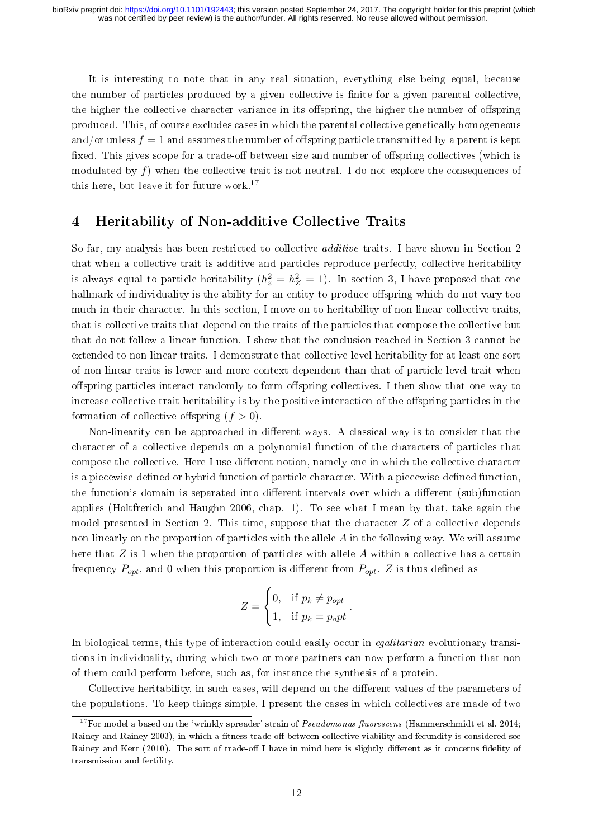It is interesting to note that in any real situation, everything else being equal, because the number of particles produced by a given collective is finite for a given parental collective, the higher the collective character variance in its offspring, the higher the number of offspring produced. This, of course excludes cases in which the parental collective genetically homogeneous and/or unless  $f = 1$  and assumes the number of offspring particle transmitted by a parent is kept fixed. This gives scope for a trade-off between size and number of offspring collectives (which is modulated by f) when the collective trait is not neutral. I do not explore the consequences of this here, but leave it for future work.[17](#page-11-1)

### <span id="page-11-0"></span>4 Heritability of Non-additive Collective Traits

So far, my analysis has been restricted to collective additive traits. I have shown in Section [2](#page-3-0) that when a collective trait is additive and particles reproduce perfectly, collective heritability is always equal to particle heritability  $(h_z^2 = h_Z^2 = 1)$ . In section [3,](#page-8-0) I have proposed that one hallmark of individuality is the ability for an entity to produce offspring which do not vary too much in their character. In this section, I move on to heritability of non-linear collective traits, that is collective traits that depend on the traits of the particles that compose the collective but that do not follow a linear function. I show that the conclusion reached in Section [3](#page-8-0) cannot be extended to non-linear traits. I demonstrate that collective-level heritability for at least one sort of non-linear traits is lower and more context-dependent than that of particle-level trait when offspring particles interact randomly to form offspring collectives. I then show that one way to increase collective-trait heritability is by the positive interaction of the offspring particles in the formation of collective offspring  $(f > 0)$ .

Non-linearity can be approached in different ways. A classical way is to consider that the character of a collective depends on a polynomial function of the characters of particles that compose the collective. Here I use different notion, namely one in which the collective character is a piecewise-defined or hybrid function of particle character. With a piecewise-defined function, the function's domain is separated into different intervals over which a different (sub)function applies (Holtfrerich and Haughn [2006,](#page-23-15) chap. 1). To see what I mean by that, take again the model presented in Section [2.](#page-3-0) This time, suppose that the character  $Z$  of a collective depends non-linearly on the proportion of particles with the allele  $A$  in the following way. We will assume here that  $Z$  is 1 when the proportion of particles with allele  $A$  within a collective has a certain frequency  $P_{opt}$ , and 0 when this proportion is different from  $P_{opt}$ . Z is thus defined as

$$
Z = \begin{cases} 0, & \text{if } p_k \neq p_{opt} \\ 1, & \text{if } p_k = p_0 pt \end{cases}.
$$

In biological terms, this type of interaction could easily occur in *equitarian* evolutionary transitions in individuality, during which two or more partners can now perform a function that non of them could perform before, such as, for instance the synthesis of a protein.

Collective heritability, in such cases, will depend on the different values of the parameters of the populations. To keep things simple, I present the cases in which collectives are made of two

<span id="page-11-1"></span> $17$  For model a based on the 'wrinkly spreader' strain of Pseudomonas fluorescens (Hammerschmidt et al. [2014;](#page-23-16) Rainey and Rainey [2003\)](#page-24-21), in which a fitness trade-off between collective viability and fecundity is considered see Rainey and Kerr [\(2010\)](#page-24-22). The sort of trade-off I have in mind here is slightly different as it concerns fidelity of transmission and fertility.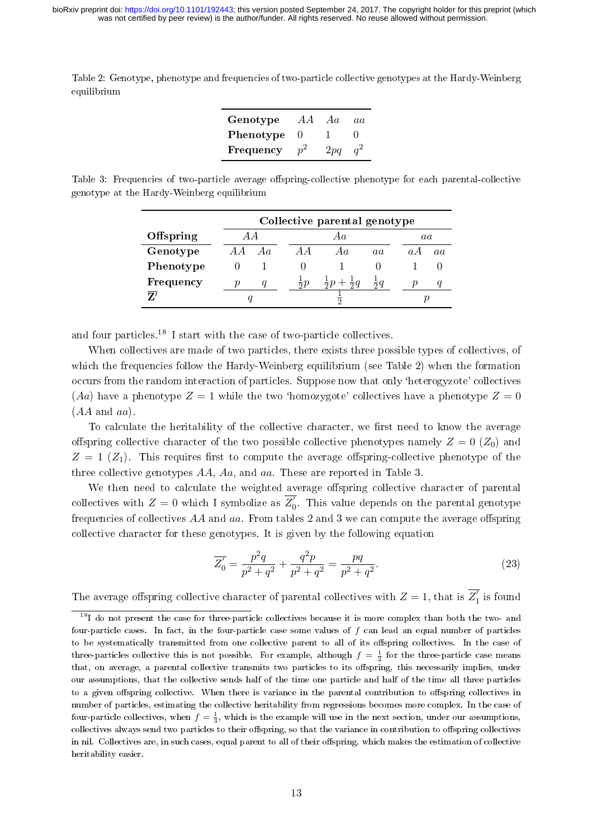<span id="page-12-1"></span>Table 2: Genotype, phenotype and frequencies of two-particle collective genotypes at the Hardy-Weinberg equilibrium

| Genotype  | A A            | Aa  | a.a |
|-----------|----------------|-----|-----|
| Phenotype |                |     |     |
| Frequency | n <sup>2</sup> | 2pq |     |

<span id="page-12-2"></span>Table 3: Frequencies of two-particle average offspring-collective phenotype for each parental-collective genotype at the Hardy-Weinberg equilibrium

|           | Collective parental genotype |  |                |                                |              |  |            |   |  |
|-----------|------------------------------|--|----------------|--------------------------------|--------------|--|------------|---|--|
| Offspring | A A                          |  |                | Αa                             |              |  | aa         |   |  |
| Genotype  | Aa                           |  |                | Aa                             | aa           |  | $\alpha$ A | a |  |
| Phenotype |                              |  |                |                                |              |  |            |   |  |
| Frequency |                              |  | $\frac{1}{2}p$ | $rac{1}{2}p +$<br>$rac{1}{2}q$ | $rac{1}{2}q$ |  | р          |   |  |
| 7         |                              |  |                |                                |              |  |            |   |  |

and four particles.[18](#page-12-0) I start with the case of two-particle collectives.

When collectives are made of two particles, there exists three possible types of collectives, of which the frequencies follow the Hardy-Weinberg equilibrium (see Table [2\)](#page-12-1) when the formation occurs from the random interaction of particles. Suppose now that only `heterogyzote' collectives (Aa) have a phenotype  $Z = 1$  while the two 'homozygote' collectives have a phenotype  $Z = 0$  $(AA \text{ and } aa)$ 

To calculate the heritability of the collective character, we first need to know the average offspring collective character of the two possible collective phenotypes namely  $Z = 0$  ( $Z_0$ ) and  $Z = 1$  ( $Z_1$ ). This requires first to compute the average offspring-collective phenotype of the three collective genotypes AA, Aa, and aa. These are reported in Table [3.](#page-12-2)

We then need to calculate the weighted average offspring collective character of parental collectives with  $Z = 0$  which I symbolize as  $\overline{Z'_0}$ . This value depends on the parental genotype frequencies of collectives  $AA$  and  $aa$ . From tables [2](#page-12-1) and [3](#page-12-2) we can compute the average offspring collective character for these genotypes. It is given by the following equation

$$
\overline{Z'_0} = \frac{p^2 q}{p^2 + q^2} + \frac{q^2 p}{p^2 + q^2} = \frac{pq}{p^2 + q^2}.
$$
\n(23)

The average offspring collective character of parental collectives with  $Z = 1$ , that is  $\overline{Z'_1}$  is found

<span id="page-12-0"></span><sup>&</sup>lt;sup>18</sup>I do not present the case for three-particle collectives because it is more complex than both the two- and four-particle cases. In fact, in the four-particle case some values of  $f$  can lead an equal number of particles to be systematically transmitted from one collective parent to all of its offspring collectives. In the case of three-particles collective this is not possible. For example, although  $f = \frac{1}{2}$  for the three-particle case means that, on average, a parental collective transmits two particles to its offspring, this necessarily implies, under our assumptions, that the collective sends half of the time one particle and half of the time all three particles to a given offspring collective. When there is variance in the parental contribution to offspring collectives in number of particles, estimating the collective heritability from regressions becomes more complex. In the case of four-particle collectives, when  $f = \frac{1}{3}$ , which is the example will use in the next section, under our assumptions, collectives always send two particles to their offspring, so that the variance in contribution to offspring collectives in nil. Collectives are, in such cases, equal parent to all of their offspring, which makes the estimation of collective heritability easier.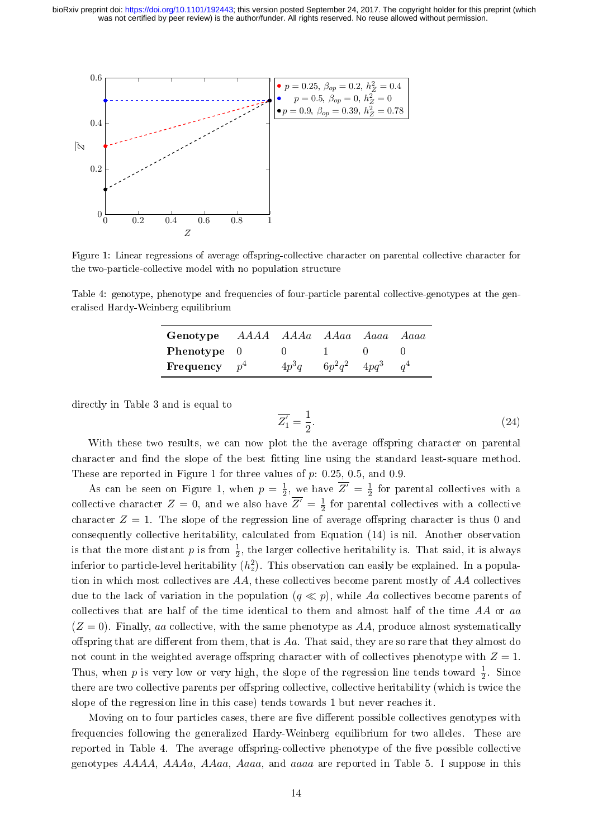<span id="page-13-0"></span>

Figure 1: Linear regressions of average offspring-collective character on parental collective character for the two-particle-collective model with no population structure

<span id="page-13-1"></span>Table 4: genotype, phenotype and frequencies of four-particle parental collective-genotypes at the generalised Hardy-Weinberg equilibrium

| Genotype AAAA AAAa AAaa Aaaa |         |                   | Aaaa |
|------------------------------|---------|-------------------|------|
| <b>Phenotype</b> 0           |         |                   |      |
| Frequency $p^4$              | $4p^3q$ | $6p^2q^2$ $4pq^3$ |      |

directly in Table [3](#page-12-2) and is equal to

$$
\overline{Z'_1} = \frac{1}{2}.\tag{24}
$$

With these two results, we can now plot the the average offspring character on parental character and find the slope of the best fitting line using the standard least-square method. These are reported in Figure [1](#page-13-0) for three values of  $p: 0.25, 0.5,$  and 0.9.

As can be seen on Figure [1,](#page-13-0) when  $p=\frac{1}{2}$  $\frac{1}{2}$ , we have  $\overline{Z}' = \frac{1}{2}$  $\frac{1}{2}$  for parental collectives with a collective character  $Z = 0$ , and we also have  $\overline{Z'} = \frac{1}{2}$  $\frac{1}{2}$  for parental collectives with a collective character  $Z = 1$ . The slope of the regression line of average offspring character is thus 0 and consequently collective heritability, calculated from Equation [\(14\)](#page-7-0) is nil. Another observation is that the more distant  $p$  is from  $\frac{1}{2}$ , the larger collective heritability is. That said, it is always inferior to particle-level heritability  $(h_z^2)$ . This observation can easily be explained. In a population in which most collectives are  $AA$ , these collectives become parent mostly of  $AA$  collectives due to the lack of variation in the population  $(q \ll p)$ , while Aa collectives become parents of collectives that are half of the time identical to them and almost half of the time  $AA$  or aa  $(Z = 0)$ . Finally, aa collective, with the same phenotype as AA, produce almost systematically offspring that are different from them, that is  $Aa$ . That said, they are so rare that they almost do not count in the weighted average offspring character with of collectives phenotype with  $Z = 1$ . Thus, when p is very low or very high, the slope of the regression line tends toward  $\frac{1}{2}$ . Since there are two collective parents per offspring collective, collective heritability (which is twice the slope of the regression line in this case) tends towards 1 but never reaches it.

Moving on to four particles cases, there are five different possible collectives genotypes with frequencies following the generalized Hardy-Weinberg equilibrium for two alleles. These are reported in Table [4.](#page-13-1) The average offspring-collective phenotype of the five possible collective genotypes AAAA, AAAa, AAaa, Aaaa, and aaaa are reported in Table [5.](#page-14-0) I suppose in this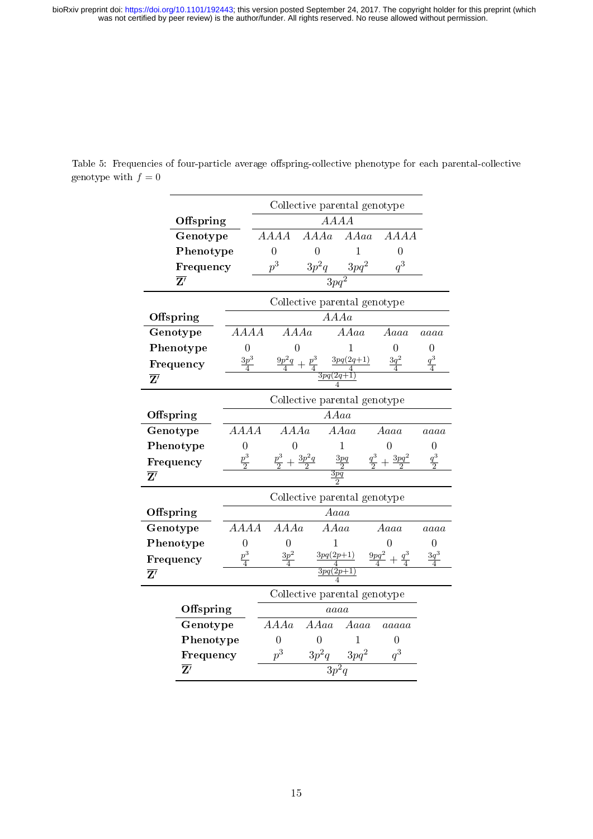|                          |                    | Collective parental genotype |                                                                |                                       |                                 |                 |  |  |
|--------------------------|--------------------|------------------------------|----------------------------------------------------------------|---------------------------------------|---------------------------------|-----------------|--|--|
| Offspring                |                    |                              |                                                                | AAAA                                  |                                 |                 |  |  |
| Genotype                 |                    | AAAA                         | A A A a                                                        | AAaa                                  | <b>AAAA</b>                     |                 |  |  |
| Phenotype                |                    | $\overline{0}$               | $\overline{0}$                                                 | 1                                     | $\overline{0}$                  |                 |  |  |
| Frequency                |                    | $p^3$                        | $3p^2q$                                                        |                                       | $q^3$                           |                 |  |  |
| $\overline{\mathbf{Z}'}$ |                    |                              |                                                                | $\frac{4}{3pq^2}$                     |                                 |                 |  |  |
|                          |                    |                              | Collective parental genotype                                   |                                       |                                 |                 |  |  |
| Offspring                |                    |                              |                                                                | A A A a                               |                                 |                 |  |  |
| Genotype                 | AAAA               |                              | A A A a                                                        | A A a a                               | Aaaa                            | aaaa            |  |  |
| Phenotype                | $\overline{0}$     |                              | 0                                                              |                                       | 0                               | $\overline{0}$  |  |  |
| Frequency                | $3p^3$             |                              | $\frac{9p^2q}{4}+\frac{p^3}{4}\frac{3pq(2q+1)}{4}}{3pq(2q+1)}$ |                                       | $3q^2$                          | $q^3$           |  |  |
| $\overline{\mathbf{Z}'}$ |                    |                              |                                                                |                                       |                                 |                 |  |  |
|                          |                    | Collective parental genotype |                                                                |                                       |                                 |                 |  |  |
| Offspring                |                    | A A a a                      |                                                                |                                       |                                 |                 |  |  |
| Genotype                 | AAAA               | A A A a                      |                                                                | AAaa                                  | Aaaa                            | aaaa            |  |  |
| Phenotype                | $\overline{0}$     | $\theta$                     |                                                                | 1                                     |                                 | 0               |  |  |
| Frequency                | $\frac{p^3}{2}$    |                              | $\frac{p^3}{2} + \frac{3p^2q}{2}$                              | $\frac{\frac{3pq}{2}}{\frac{3pq}{2}}$ | $\frac{q^3}{2}+\frac{3pq^2}{2}$ | $\frac{q^3}{2}$ |  |  |
| $\overline{\mathbf{Z}'}$ |                    |                              |                                                                |                                       |                                 |                 |  |  |
|                          |                    | Collective parental genotype |                                                                |                                       |                                 |                 |  |  |
| Offspring                |                    |                              |                                                                | Aaaa                                  |                                 |                 |  |  |
| Genotype                 | AAAA               | A A A a                      | AAaa                                                           |                                       | Aaaa                            | aaaa            |  |  |
| Phenotype                | $\overline{0}$     | $\overline{0}$               | 1                                                              |                                       | 0                               | 0               |  |  |
| Frequency                | $rac{p^3}{4}$      | $3p^2$                       | $3pq(2p+1)$                                                    |                                       | $9pq^2$                         |                 |  |  |
| $\overline{\mathbf{Z}'}$ |                    |                              | $\overline{3pq(2p+1)}$                                         |                                       |                                 |                 |  |  |
|                          |                    |                              | Collective parental genotype                                   |                                       |                                 |                 |  |  |
| Offspring                |                    |                              | aaaa                                                           |                                       |                                 |                 |  |  |
| Genotype                 | A A A a            | AAaa                         | Aaaa                                                           | aaaaa                                 |                                 |                 |  |  |
| Phenotype                |                    | $\overline{0}$               | $\theta$                                                       | 1                                     | 0                               |                 |  |  |
| Frequency                |                    | $p^3$                        | $3p^2q$                                                        | $3pq^2$                               | $q^3$                           |                 |  |  |
| $\overline{\mathbf{Z}'}$ | $\overline{3p^2q}$ |                              |                                                                |                                       |                                 |                 |  |  |

<span id="page-14-0"></span>Table 5: Frequencies of four-particle average offspring-collective phenotype for each parental-collective genotype with  $f = 0$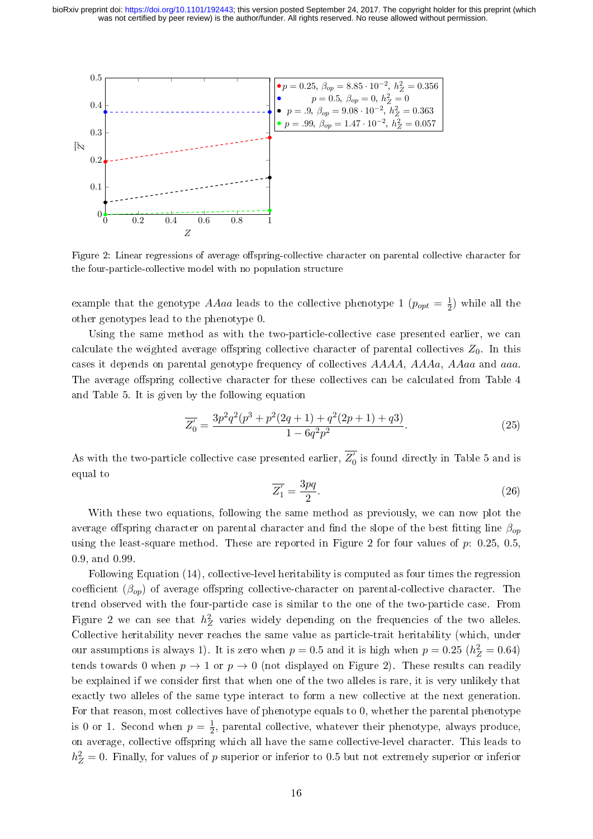<span id="page-15-0"></span>

Figure 2: Linear regressions of average offspring-collective character on parental collective character for the four-particle-collective model with no population structure

example that the genotype AAaa leads to the collective phenotype 1 ( $p_{opt} = \frac{1}{2}$ )  $(\frac{1}{2})$  while all the other genotypes lead to the phenotype 0.

Using the same method as with the two-particle-collective case presented earlier, we can calculate the weighted average offspring collective character of parental collectives  $Z_0$ . In this cases it depends on parental genotype frequency of collectives AAAA, AAAa, AAaa and aaa. The average offspring collective character for these collectives can be calculated from Table [4](#page-13-1) and Table [5.](#page-14-0) It is given by the following equation

$$
\overline{Z'_0} = \frac{3p^2q^2(p^3+p^2(2q+1)+q^2(2p+1)+q3)}{1-6q^2p^2}.
$$
\n(25)

As with the two-particle collective case presented earlier,  $\overline{Z'_0}$  is found directly in Table [5](#page-14-0) and is equal to

$$
\overline{Z_1'} = \frac{3pq}{2}.\tag{26}
$$

With these two equations, following the same method as previously, we can now plot the average offspring character on parental character and find the slope of the best fitting line  $\beta_{on}$ using the least-square method. These are reported in Figure [2](#page-15-0) for four values of  $p: 0.25, 0.5$ , 0.9, and 0.99.

Following Equation [\(14\)](#page-7-0), collective-level heritability is computed as four times the regression coefficient  $(\beta_{op})$  of average offspring collective-character on parental-collective character. The trend observed with the four-particle case is similar to the one of the two-particle case. From Figure [2](#page-15-0) we can see that  $h_Z^2$  varies widely depending on the frequencies of the two alleles. Collective heritability never reaches the same value as particle-trait heritability (which, under our assumptions is always 1). It is zero when  $p = 0.5$  and it is high when  $p = 0.25$   $(h_Z^2 = 0.64)$ tends towards 0 when  $p \to 1$  or  $p \to 0$  (not displayed on Figure [2\)](#page-15-0). These results can readily be explained if we consider first that when one of the two alleles is rare, it is very unlikely that exactly two alleles of the same type interact to form a new collective at the next generation. For that reason, most collectives have of phenotype equals to 0, whether the parental phenotype is 0 or 1. Second when  $p=\frac{1}{2}$  $\frac{1}{2}$ , parental collective, whatever their phenotype, always produce, on average, collective offspring which all have the same collective-level character. This leads to  $h_Z^2 = 0$ . Finally, for values of p superior or inferior to 0.5 but not extremely superior or inferior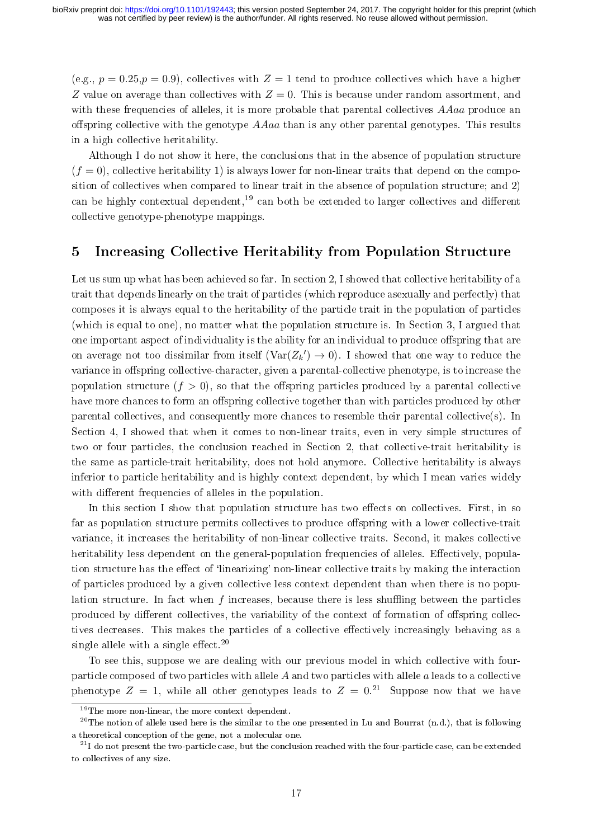(e.g.,  $p = 0.25, p = 0.9$ ), collectives with  $Z = 1$  tend to produce collectives which have a higher Z value on average than collectives with  $Z = 0$ . This is because under random assortment, and with these frequencies of alleles, it is more probable that parental collectives AAaa produce an offspring collective with the genotype  $A A a a$  than is any other parental genotypes. This results in a high collective heritability.

Although I do not show it here, the conclusions that in the absence of population structure  $(f = 0)$ , collective heritability 1) is always lower for non-linear traits that depend on the composition of collectives when compared to linear trait in the absence of population structure; and 2) can be highly contextual dependent,<sup>[19](#page-16-1)</sup> can both be extended to larger collectives and different collective genotype-phenotype mappings.

### <span id="page-16-0"></span>5 Increasing Collective Heritability from Population Structure

Let us sum up what has been achieved so far. In section [2,](#page-3-0) I showed that collective heritability of a trait that depends linearly on the trait of particles (which reproduce asexually and perfectly) that composes it is always equal to the heritability of the particle trait in the population of particles (which is equal to one), no matter what the population structure is. In Section [3,](#page-8-0) I argued that one important aspect of individuality is the ability for an individual to produce offspring that are on average not too dissimilar from itself  $(\text{Var}(Z_k') \to 0)$ . I showed that one way to reduce the variance in offspring collective-character, given a parental-collective phenotype, is to increase the population structure  $(f > 0)$ , so that the offspring particles produced by a parental collective have more chances to form an offspring collective together than with particles produced by other parental collectives, and consequently more chances to resemble their parental collective(s). In Section [4,](#page-11-0) I showed that when it comes to non-linear traits, even in very simple structures of two or four particles, the conclusion reached in Section [2,](#page-3-0) that collective-trait heritability is the same as particle-trait heritability, does not hold anymore. Collective heritability is always inferior to particle heritability and is highly context dependent, by which I mean varies widely with different frequencies of alleles in the population.

In this section I show that population structure has two effects on collectives. First, in so far as population structure permits collectives to produce offspring with a lower collective-trait variance, it increases the heritability of non-linear collective traits. Second, it makes collective heritability less dependent on the general-population frequencies of alleles. Effectively, population structure has the effect of 'linearizing' non-linear collective traits by making the interaction of particles produced by a given collective less context dependent than when there is no population structure. In fact when  $f$  increases, because there is less shuffling between the particles produced by different collectives, the variability of the context of formation of offspring collectives decreases. This makes the particles of a collective effectively increasingly behaving as a single allele with a single effect. $20$ 

To see this, suppose we are dealing with our previous model in which collective with fourparticle composed of two particles with allele A and two particles with allele a leads to a collective phenotype  $Z = 1$ , while all other genotypes leads to  $Z = 0.21$  $Z = 0.21$  Suppose now that we have

<span id="page-16-2"></span><span id="page-16-1"></span><sup>&</sup>lt;sup>19</sup>The more non-linear, the more context dependent.

<sup>&</sup>lt;sup>20</sup>The notion of allele used here is the similar to the one presented in Lu and Bourrat [\(n.d.\)](#page-23-17), that is following a theoretical conception of the gene, not a molecular one.

<span id="page-16-3"></span> $^{21}$ I do not present the two-particle case, but the conclusion reached with the four-particle case, can be extended to collectives of any size.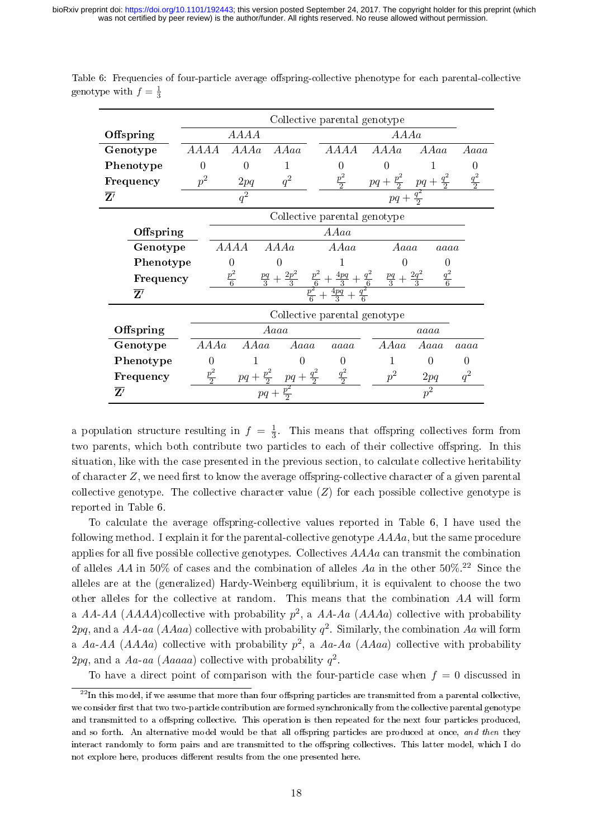|                          |                 | Collective parental genotype |                                    |                                 |                      |                                     |               |  |  |
|--------------------------|-----------------|------------------------------|------------------------------------|---------------------------------|----------------------|-------------------------------------|---------------|--|--|
| Offspring                |                 | A A A a                      |                                    |                                 |                      |                                     |               |  |  |
| Genotype                 | AAAA            | A A A a                      | A A a a                            | <i>AAAA</i>                     | A A A a              | A A a a                             | Aaaa          |  |  |
| Phenotype                | $\overline{0}$  | $\Omega$                     | 1                                  | $\mathbf{0}$                    | 0                    |                                     | 0             |  |  |
| Frequency                | $p^2$           | 2pq                          | $q^2$                              | $\frac{p^2}{2}$                 | $pq + \frac{p^2}{2}$ | $pq + \frac{q^2}{2}$                | $rac{q^2}{2}$ |  |  |
| $\mathbf{Z}'$            |                 | $q^2$                        |                                    |                                 | $pq +$               | $\frac{q^2}{2}$                     |               |  |  |
|                          |                 | Collective parental genotype |                                    |                                 |                      |                                     |               |  |  |
| Offspring                |                 |                              |                                    | AAaa                            |                      |                                     |               |  |  |
| Genotype                 |                 | AAAA                         | A A A a                            | AAaa                            | Aaaa                 | aaaa                                |               |  |  |
| Phenotype                |                 | $\theta$                     |                                    |                                 |                      |                                     |               |  |  |
| Frequency                |                 | $rac{p^2}{6}$                | $\frac{2p^2}{3}$<br>$rac{pq}{3}$ + |                                 | $\frac{pq}{3}$       | $\frac{q^2}{6}$<br>$\frac{2q^2}{3}$ |               |  |  |
| $\overline{\mathbf{Z}'}$ |                 |                              |                                    | $\frac{p^2}{p^2}+\frac{4pq}{3}$ |                      |                                     |               |  |  |
|                          |                 | Collective parental genotype |                                    |                                 |                      |                                     |               |  |  |
| Offspring                |                 |                              | Aaaa                               |                                 |                      | aaaa                                |               |  |  |
| Genotype                 | A A A a         | A A a a                      | Aaaa                               | aaaa                            | A A a a              | Aaaa                                | aaaa          |  |  |
| Phenotype                | $^{(1)}$        |                              | 0                                  | 0                               |                      | 0                                   | $\mathbf{0}$  |  |  |
| Frequency                | $\frac{p^2}{2}$ | $pq + \frac{p^2}{2}$         | $pq + \frac{q^2}{2}$               | $\frac{q^2}{2}$                 | $p^2$                | 2pq                                 | $q^2$         |  |  |
| $\mathbf{Z}'$            |                 |                              |                                    |                                 |                      | $p^2$                               |               |  |  |

<span id="page-17-0"></span>Table 6: Frequencies of four-particle average offspring-collective phenotype for each parental-collective genotype with  $f = \frac{1}{3}$ 

a population structure resulting in  $f = \frac{1}{3}$  $\frac{1}{3}$ . This means that offspring collectives form from two parents, which both contribute two particles to each of their collective offspring. In this situation, like with the case presented in the previous section, to calculate collective heritability of character  $Z$ , we need first to know the average offspring-collective character of a given parental collective genotype. The collective character value  $(Z)$  for each possible collective genotype is reported in Table [6.](#page-17-0)

To calculate the average offspring-collective values reported in Table [6,](#page-17-0) I have used the following method. I explain it for the parental-collective genotype  $A A A a$ , but the same procedure applies for all five possible collective genotypes. Collectives  $A A A a$  can transmit the combination of alleles AA in 50% of cases and the combination of alleles Aa in the other  $50\%$ .<sup>[22](#page-17-1)</sup> Since the alleles are at the (generalized) Hardy-Weinberg equilibrium, it is equivalent to choose the two other alleles for the collective at random. This means that the combination AA will form a AA-AA (AAAA)collective with probability  $p^2$ , a AA-Aa (AAAa) collective with probability  $2pq$ , and a AA-aa (AAaa) collective with probability  $q^2$ . Similarly, the combination Aa will form a Aa-AA (AAAa) collective with probability  $p^2$ , a Aa-Aa (AAaa) collective with probability  $2pq$ , and a Aa-aa (Aaaaa) collective with probability  $q^2$ .

<span id="page-17-1"></span>To have a direct point of comparison with the four-particle case when  $f = 0$  discussed in

 $^{22}$ In this model, if we assume that more than four offspring particles are transmitted from a parental collective, we consider first that two two-particle contribution are formed synchronically from the collective parental genotype and transmitted to a offspring collective. This operation is then repeated for the next four particles produced, and so forth. An alternative model would be that all offspring particles are produced at once, and then they interact randomly to form pairs and are transmitted to the offspring collectives. This latter model, which I do not explore here, produces different results from the one presented here.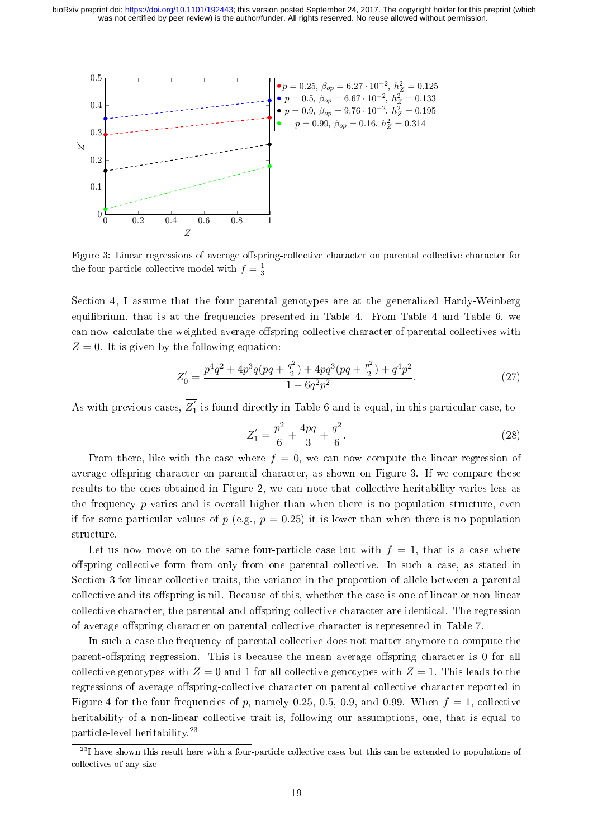<span id="page-18-0"></span>

Figure 3: Linear regressions of average offspring-collective character on parental collective character for the four-particle-collective model with  $f = \frac{1}{3}$ 

Section [4,](#page-11-0) I assume that the four parental genotypes are at the generalized Hardy-Weinberg equilibrium, that is at the frequencies presented in Table [4.](#page-13-1) From Table [4](#page-13-1) and Table [6,](#page-17-0) we can now calculate the weighted average offspring collective character of parental collectives with  $Z = 0$ . It is given by the following equation:

$$
\overline{Z'_0} = \frac{p^4 q^2 + 4p^3 q (pq + \frac{q^2}{2}) + 4pq^3 (pq + \frac{p^2}{2}) + q^4 p^2}{1 - 6q^2 p^2}.
$$
\n(27)

As with previous cases,  $\overline{Z'_1}$  is found directly in Table [6](#page-17-0) and is equal, in this particular case, to

$$
\overline{Z'_1} = \frac{p^2}{6} + \frac{4pq}{3} + \frac{q^2}{6}.
$$
\n(28)

From there, like with the case where  $f = 0$ , we can now compute the linear regression of average offspring character on parental character, as shown on Figure [3.](#page-18-0) If we compare these results to the ones obtained in Figure [2,](#page-15-0) we can note that collective heritability varies less as the frequency  $p$  varies and is overall higher than when there is no population structure, even if for some particular values of  $p$  (e.g.,  $p = 0.25$ ) it is lower than when there is no population structure.

Let us now move on to the same four-particle case but with  $f = 1$ , that is a case where offspring collective form from only from one parental collective. In such a case, as stated in Section [3](#page-8-0) for linear collective traits, the variance in the proportion of allele between a parental collective and its offspring is nil. Because of this, whether the case is one of linear or non-linear collective character, the parental and offspring collective character are identical. The regression of average offspring character on parental collective character is represented in Table [7.](#page-19-0)

In such a case the frequency of parental collective does not matter anymore to compute the parent-offspring regression. This is because the mean average offspring character is 0 for all collective genotypes with  $Z = 0$  and 1 for all collective genotypes with  $Z = 1$ . This leads to the regressions of average offspring-collective character on parental collective character reported in Figure [4](#page-19-1) for the four frequencies of p, namely 0.25, 0.5, 0.9, and 0.99. When  $f = 1$ , collective heritability of a non-linear collective trait is, following our assumptions, one, that is equal to particle-level heritability.[23](#page-18-1)

<span id="page-18-1"></span> $^{23}$ I have shown this result here with a four-particle collective case, but this can be extended to populations of collectives of any size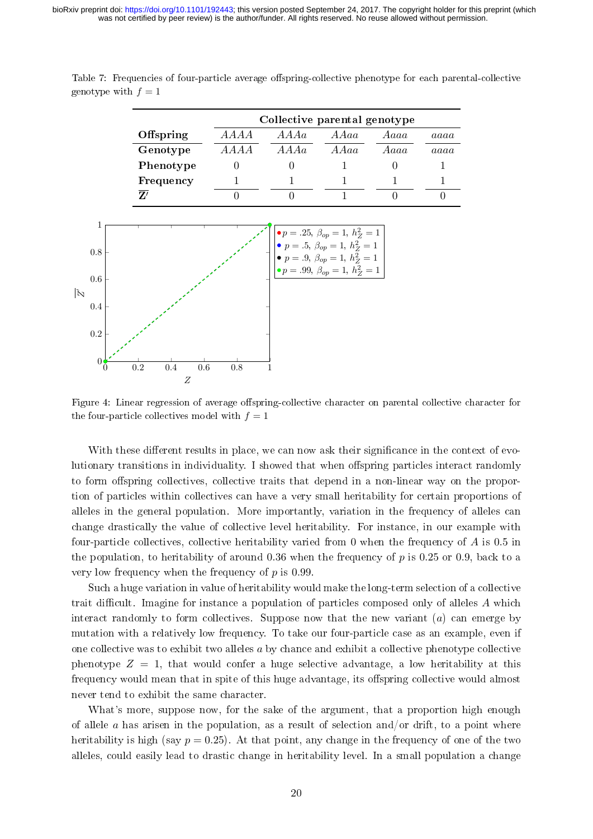<span id="page-19-1"></span>

|                                                           |                                                         |             | Collective parental genotype |                                                                                                                                                                                                  |      |          |
|-----------------------------------------------------------|---------------------------------------------------------|-------------|------------------------------|--------------------------------------------------------------------------------------------------------------------------------------------------------------------------------------------------|------|----------|
|                                                           | Offspring                                               | <b>AAAA</b> | A A A a                      | AAaa                                                                                                                                                                                             | Aaaa | aaaa     |
|                                                           | Genotype                                                | <b>AAAA</b> | A A A a                      | A A a a                                                                                                                                                                                          | Aaaa | aaaa     |
|                                                           | Phenotype                                               | $\Omega$    | $\Omega$                     | 1                                                                                                                                                                                                | 0    | 1        |
|                                                           | Frequency                                               | 1           |                              | 1                                                                                                                                                                                                |      | 1        |
|                                                           | $\overline{Z'}$                                         | 0           | $\Omega$                     |                                                                                                                                                                                                  | 0    | $\Omega$ |
| $0.8\,$<br>$0.6\,$<br>$\tilde{N}$<br>$0.4\,$<br>$\rm 0.2$ | 1<br>$\overline{0}$<br>$\rm 0.2$<br>0.6<br>$0.4\,$<br>Z | $0.8\,$     |                              | $\bullet p=.25, \ \beta_{op}=1, \ h_Z^2=1$<br>• $p = .5, \ \beta_{op} = 1, \ h_Z^2 = 1$<br>• $p = .9, \ \beta_{op} = 1, \ h_Z^2 = 1$<br>$\bullet p = .99, \ \beta_{op} = 1, \ \tilde{h_Z^2} = 1$ |      |          |

<span id="page-19-0"></span>Table 7: Frequencies of four-particle average offspring-collective phenotype for each parental-collective genotype with  $f = 1$ 

Figure 4: Linear regression of average offspring-collective character on parental collective character for the four-particle collectives model with  $f = 1$ 

With these different results in place, we can now ask their significance in the context of evolutionary transitions in individuality. I showed that when offspring particles interact randomly to form offspring collectives, collective traits that depend in a non-linear way on the proportion of particles within collectives can have a very small heritability for certain proportions of alleles in the general population. More importantly, variation in the frequency of alleles can change drastically the value of collective level heritability. For instance, in our example with four-particle collectives, collective heritability varied from 0 when the frequency of  $\vec{A}$  is 0.5 in the population, to heritability of around 0.36 when the frequency of p is 0.25 or 0.9, back to a very low frequency when the frequency of  $p$  is 0.99.

Such a huge variation in value of heritability would make the long-term selection of a collective trait difficult. Imagine for instance a population of particles composed only of alleles  $A$  which interact randomly to form collectives. Suppose now that the new variant  $(a)$  can emerge by mutation with a relatively low frequency. To take our four-particle case as an example, even if one collective was to exhibit two alleles  $a$  by chance and exhibit a collective phenotype collective phenotype  $Z = 1$ , that would confer a huge selective advantage, a low heritability at this frequency would mean that in spite of this huge advantage, its offspring collective would almost never tend to exhibit the same character.

What's more, suppose now, for the sake of the argument, that a proportion high enough of allele  $\alpha$  has arisen in the population, as a result of selection and/or drift, to a point where heritability is high (say  $p = 0.25$ ). At that point, any change in the frequency of one of the two alleles, could easily lead to drastic change in heritability level. In a small population a change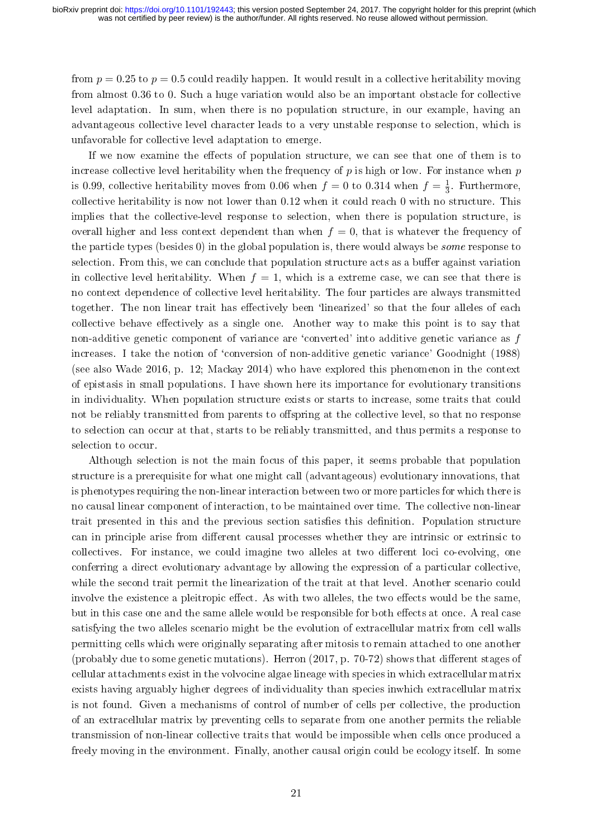from  $p = 0.25$  to  $p = 0.5$  could readily happen. It would result in a collective heritability moving from almost 0.36 to 0. Such a huge variation would also be an important obstacle for collective level adaptation. In sum, when there is no population structure, in our example, having an advantageous collective level character leads to a very unstable response to selection, which is unfavorable for collective level adaptation to emerge.

If we now examine the effects of population structure, we can see that one of them is to increase collective level heritability when the frequency of  $p$  is high or low. For instance when  $p$ is 0.99, collective heritability moves from 0.06 when  $f = 0$  to 0.314 when  $f = \frac{1}{3}$  $\frac{1}{3}$ . Furthermore, collective heritability is now not lower than 0.12 when it could reach 0 with no structure. This implies that the collective-level response to selection, when there is population structure, is overall higher and less context dependent than when  $f = 0$ , that is whatever the frequency of the particle types (besides 0) in the global population is, there would always be some response to selection. From this, we can conclude that population structure acts as a buffer against variation in collective level heritability. When  $f = 1$ , which is a extreme case, we can see that there is no context dependence of collective level heritability. The four particles are always transmitted together. The non linear trait has effectively been 'linearized' so that the four alleles of each collective behave effectively as a single one. Another way to make this point is to say that non-additive genetic component of variance are 'converted' into additive genetic variance as  $f$ increases. I take the notion of 'conversion of non-additive genetic variance' Goodnight [\(1988\)](#page-23-18) (see also Wade [2016,](#page-24-2) p. 12; Mackay [2014\)](#page-23-19) who have explored this phenomenon in the context of epistasis in small populations. I have shown here its importance for evolutionary transitions in individuality. When population structure exists or starts to increase, some traits that could not be reliably transmitted from parents to offspring at the collective level, so that no response to selection can occur at that, starts to be reliably transmitted, and thus permits a response to selection to occur.

Although selection is not the main focus of this paper, it seems probable that population structure is a prerequisite for what one might call (advantageous) evolutionary innovations, that is phenotypes requiring the non-linear interaction between two or more particles for which there is no causal linear component of interaction, to be maintained over time. The collective non-linear trait presented in this and the previous section satisfies this definition. Population structure can in principle arise from different causal processes whether they are intrinsic or extrinsic to collectives. For instance, we could imagine two alleles at two different loci co-evolving, one conferring a direct evolutionary advantage by allowing the expression of a particular collective, while the second trait permit the linearization of the trait at that level. Another scenario could involve the existence a pleitropic effect. As with two alleles, the two effects would be the same. but in this case one and the same allele would be responsible for both effects at once. A real case satisfying the two alleles scenario might be the evolution of extracellular matrix from cell walls permitting cells which were originally separating after mitosis to remain attached to one another (probably due to some genetic mutations). Herron  $(2017, p. 70-72)$  $(2017, p. 70-72)$  shows that different stages of cellular attachments exist in the volvocine algae lineage with species in which extracellular matrix exists having arguably higher degrees of individuality than species inwhich extracellular matrix is not found. Given a mechanisms of control of number of cells per collective, the production of an extracellular matrix by preventing cells to separate from one another permits the reliable transmission of non-linear collective traits that would be impossible when cells once produced a freely moving in the environment. Finally, another causal origin could be ecology itself. In some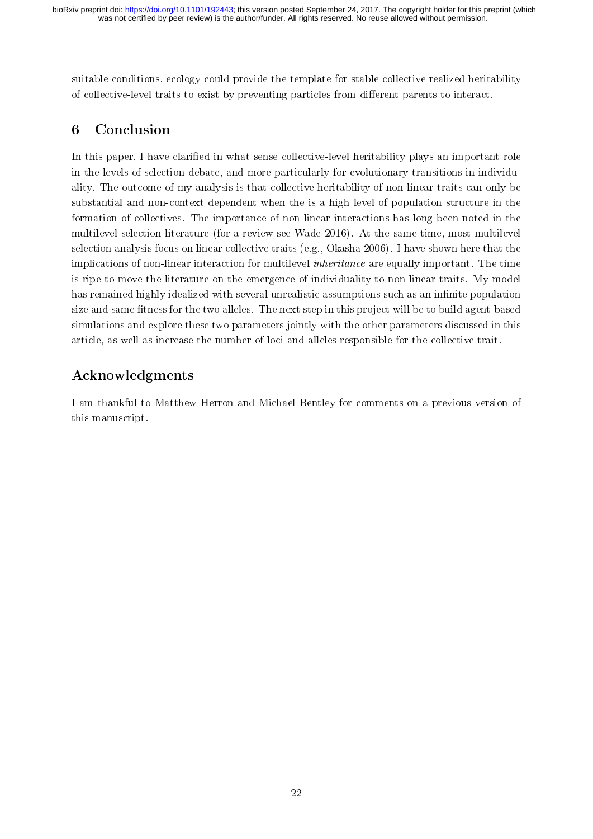suitable conditions, ecology could provide the template for stable collective realized heritability of collective-level traits to exist by preventing particles from different parents to interact.

# 6 Conclusion

In this paper, I have clarified in what sense collective-level heritability plays an important role in the levels of selection debate, and more particularly for evolutionary transitions in individuality. The outcome of my analysis is that collective heritability of non-linear traits can only be substantial and non-context dependent when the is a high level of population structure in the formation of collectives. The importance of non-linear interactions has long been noted in the multilevel selection literature (for a review see Wade [2016\)](#page-24-2). At the same time, most multilevel selection analysis focus on linear collective traits (e.g., Okasha [2006\)](#page-24-0). I have shown here that the implications of non-linear interaction for multilevel inheritance are equally important. The time is ripe to move the literature on the emergence of individuality to non-linear traits. My model has remained highly idealized with several unrealistic assumptions such as an infinite population size and same fitness for the two alleles. The next step in this project will be to build agent-based simulations and explore these two parameters jointly with the other parameters discussed in this article, as well as increase the number of loci and alleles responsible for the collective trait.

# Acknowledgments

I am thankful to Matthew Herron and Michael Bentley for comments on a previous version of this manuscript.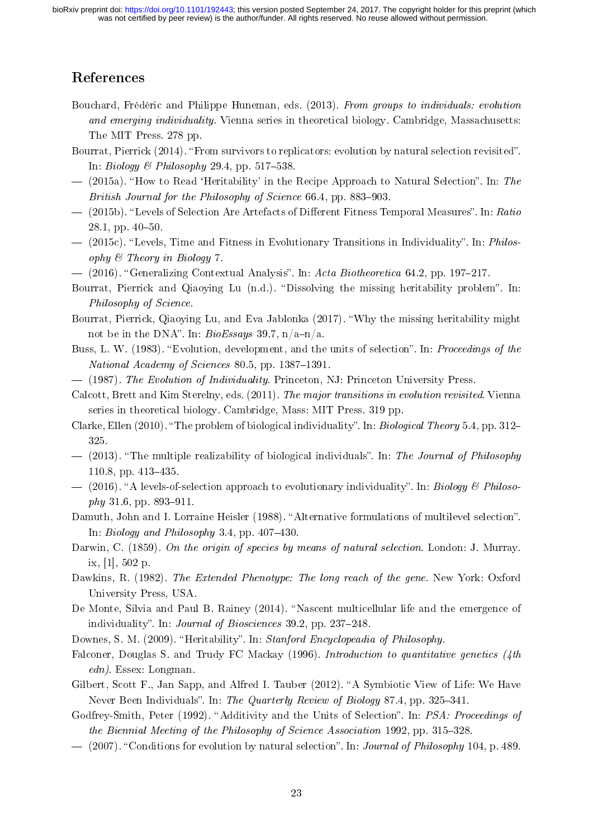## References

- <span id="page-22-0"></span>Bouchard, Frédéric and Philippe Huneman, eds. (2013). From groups to individuals: evolution and emerging individuality. Vienna series in theoretical biology. Cambridge, Massachusetts: The MIT Press. 278 pp.
- <span id="page-22-8"></span>Bourrat, Pierrick (2014). "From survivors to replicators: evolution by natural selection revisited". In: Biology & Philosophy 29.4, pp. 517-538.
- <span id="page-22-9"></span> $-$  (2015a). "How to Read 'Heritability' in the Recipe Approach to Natural Selection". In: The British Journal for the Philosophy of Science  $66.4$ , pp. 883-903.
- <span id="page-22-11"></span> $-$  (2015b). "Levels of Selection Are Artefacts of Different Fitness Temporal Measures". In: Ratio  $28.1$ , pp.  $40-50$ .
- <span id="page-22-12"></span> $-$  (2015c). "Levels, Time and Fitness in Evolutionary Transitions in Individuality". In: *Philos*ophy & Theory in Biology 7.
- <span id="page-22-13"></span> $-$  (2016). "Generalizing Contextual Analysis". In: Acta Biotheoretica 64.2, pp. 197-217.
- <span id="page-22-16"></span>Bourrat, Pierrick and Qiaoying Lu (n.d.). "Dissolving the missing heritability problem". In: Philosophy of Science.
- <span id="page-22-17"></span>Bourrat, Pierrick, Qiaoying Lu, and Eva Jablonka (2017). Why the missing heritability might not be in the DNA". In:  $BioEssays$  39.7,  $n/a-n/a$ .
- <span id="page-22-2"></span>Buss, L. W. (1983). "Evolution, development, and the units of selection". In: Proceedings of the National Academy of Sciences 80.5, pp. 1387-1391.
- <span id="page-22-3"></span>(1987). The Evolution of Individuality. Princeton, NJ: Princeton University Press.
- <span id="page-22-1"></span>Calcott, Brett and Kim Sterelny, eds. (2011). The major transitions in evolution revisited. Vienna series in theoretical biology. Cambridge, Mass: MIT Press. 319 pp.
- <span id="page-22-19"></span>Clarke, Ellen  $(2010)$ . "The problem of biological individuality". In: *Biological Theory* 5.4, pp. 312– 325.
- <span id="page-22-20"></span> $-$  (2013). "The multiple realizability of biological individuals". In: The Journal of Philosophy 110.8, pp. 413-435.
- <span id="page-22-4"></span> $-$  (2016). "A levels-of-selection approach to evolutionary individuality". In: Biology & Philoso $phy 31.6, pp. 893-911.$
- Damuth, John and I. Lorraine Heisler (1988). "Alternative formulations of multilevel selection". In: Biology and Philosophy 3.4, pp.  $407-430$ .
- <span id="page-22-6"></span>Darwin, C. (1859). On the origin of species by means of natural selection. London: J. Murray. ix, [1], 502 p.
- <span id="page-22-21"></span>Dawkins, R. (1982). The Extended Phenotype: The long reach of the gene. New York: Oxford University Press, USA.
- <span id="page-22-10"></span>De Monte, Silvia and Paul B. Rainey (2014). "Nascent multicellular life and the emergence of individuality". In: *Journal of Biosciences*  $39.2$ , pp.  $237-248$ .
- <span id="page-22-18"></span>Downes, S. M. (2009). "Heritability". In: Stanford Encyclopeadia of Philosophy.
- <span id="page-22-15"></span>Falconer, Douglas S. and Trudy FC Mackay (1996). Introduction to quantitative genetics (4th  $edn$ ). Essex: Longman.
- <span id="page-22-5"></span>Gilbert, Scott F., Jan Sapp, and Alfred I. Tauber (2012). "A Symbiotic View of Life: We Have Never Been Individuals". In: The Quarterly Review of Biology 87.4, pp. 325–341.
- <span id="page-22-14"></span>Godfrey-Smith, Peter (1992). "Additivity and the Units of Selection". In: PSA: Proceedings of the Biennial Meeting of the Philosophy of Science Association 1992, pp. 315-328.
- <span id="page-22-7"></span>(2007). "Conditions for evolution by natural selection". In: *Journal of Philosophy* 104, p. 489.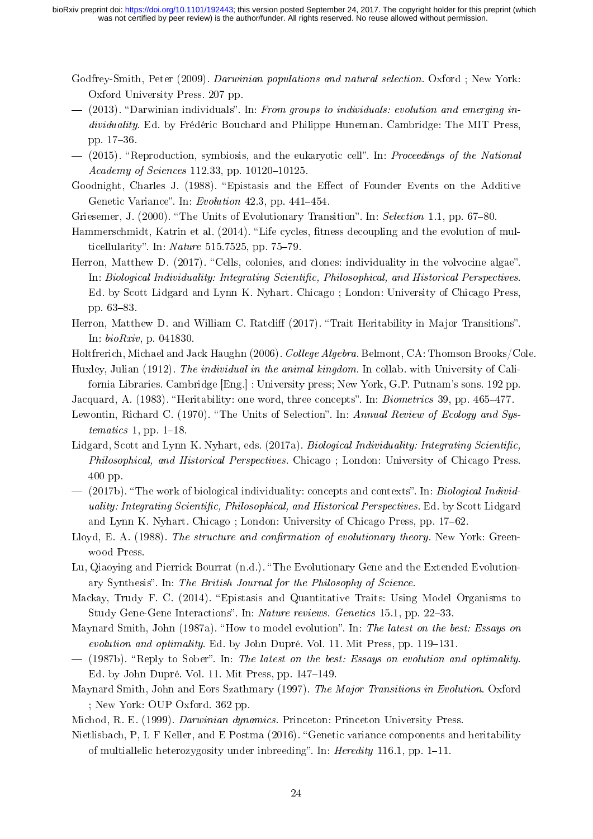- <span id="page-23-0"></span>Godfrey-Smith, Peter (2009). *Darwinian populations and natural selection*. Oxford ; New York: Oxford University Press. 207 pp.
- <span id="page-23-5"></span> $-$  (2013). "Darwinian individuals". In: From groups to individuals: evolution and emerging individuality. Ed. by Frédéric Bouchard and Philippe Huneman. Cambridge: The MIT Press, pp. 1736.
- <span id="page-23-14"></span>(2015). "Reproduction, symbiosis, and the eukaryotic cell". In: *Proceedings of the National* Academy of Sciences 112.33, pp. 10120-10125.
- <span id="page-23-18"></span>Goodnight, Charles J. (1988). "Epistasis and the Effect of Founder Events on the Additive Genetic Variance". In:  $Evolution$  42.3, pp. 441-454.
- <span id="page-23-6"></span>Griesemer, J. (2000). "The Units of Evolutionary Transition". In: Selection 1.1, pp. 67–80.
- <span id="page-23-16"></span>Hammerschmidt, Katrin et al. (2014). "Life cycles, fitness decoupling and the evolution of multicellularity". In:  $Nature\ 515.7525$ , pp. 75-79.
- <span id="page-23-20"></span>Herron, Matthew D.  $(2017)$ . "Cells, colonies, and clones: individuality in the volvocine algae". In: Biological Individuality: Integrating Scientific, Philosophical, and Historical Perspectives. Ed. by Scott Lidgard and Lynn K. Nyhart. Chicago ; London: University of Chicago Press, pp. 63-83.
- <span id="page-23-4"></span>Herron, Matthew D. and William C. Ratcliff (2017). "Trait Heritability in Major Transitions". In: bioRxiv, p. 041830.
- <span id="page-23-15"></span>Holtfrerich, Michael and Jack Haughn (2006). College Algebra. Belmont, CA: Thomson Brooks/Cole.
- <span id="page-23-13"></span>Huxley, Julian (1912). The individual in the animal kingdom. In collab. with University of California Libraries. Cambridge [Eng.] : University press; New York, G.P. Putnam's sons. 192 pp.
- <span id="page-23-10"></span>Jacquard, A. (1983). "Heritability: one word, three concepts". In: *Biometrics* 39, pp. 465–477.
- Lewontin, Richard C. (1970). "The Units of Selection". In: Annual Review of Ecology and Systematics 1, pp.  $1-18$ .
- <span id="page-23-1"></span>Lidgard, Scott and Lynn K. Nyhart, eds. (2017a). Biological Individuality: Integrating Scientific, Philosophical, and Historical Perspectives. Chicago ; London: University of Chicago Press. 400 pp.
- <span id="page-23-12"></span> $-$  (2017b). "The work of biological individuality: concepts and contexts". In: *Biological Individ*uality: Integrating Scientific, Philosophical, and Historical Perspectives. Ed. by Scott Lidgard and Lynn K. Nyhart. Chicago ; London: University of Chicago Press, pp. 17–62.
- <span id="page-23-8"></span>Lloyd, E. A. (1988). The structure and confirmation of evolutionary theory. New York: Greenwood Press.
- <span id="page-23-17"></span>Lu, Qiaoving and Pierrick Bourrat (n.d.). "The Evolutionary Gene and the Extended Evolutionary Synthesis". In: The British Journal for the Philosophy of Science.
- <span id="page-23-19"></span>Mackay, Trudy F. C. (2014). "Epistasis and Quantitative Traits: Using Model Organisms to Study Gene-Gene Interactions". In: Nature reviews. Genetics 15.1, pp. 22–33.
- <span id="page-23-7"></span>Maynard Smith, John (1987a). "How to model evolution". In: The latest on the best: Essays on evolution and optimality. Ed. by John Dupré. Vol. 11. Mit Press, pp.  $119-131$ .
- <span id="page-23-9"></span> $-$  (1987b). "Reply to Sober". In: The latest on the best: Essays on evolution and optimality. Ed. by John Dupré. Vol. 11. Mit Press, pp. 147–149.
- <span id="page-23-2"></span>Maynard Smith, John and Eors Szathmary (1997). The Major Transitions in Evolution. Oxford ; New York: OUP Oxford. 362 pp.
- <span id="page-23-3"></span>Michod, R. E. (1999). Darwinian dynamics. Princeton: Princeton University Press.
- <span id="page-23-11"></span>Nietlisbach, P, L F Keller, and E Postma (2016). "Genetic variance components and heritability of multiallelic heterozygosity under inbreeding". In: Heredity 116.1, pp. 1–11.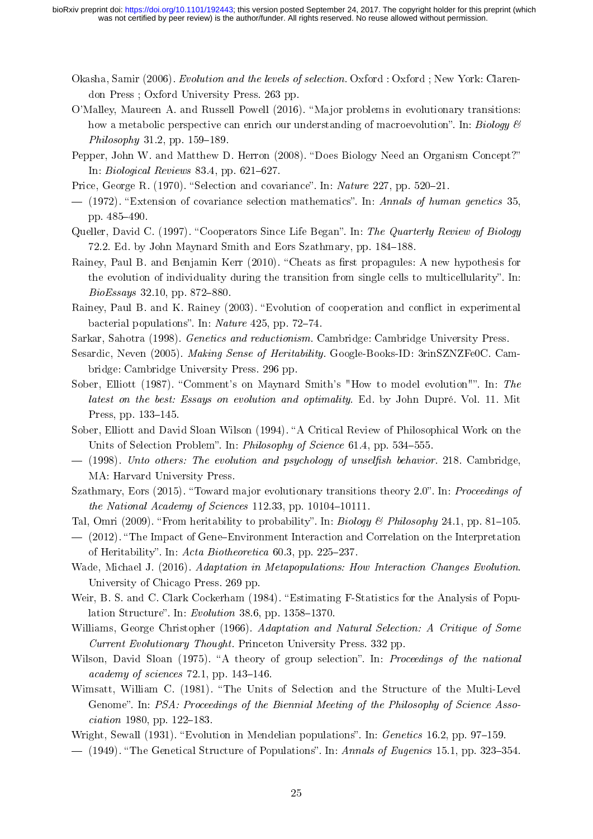- <span id="page-24-0"></span>Okasha, Samir (2006). Evolution and the levels of selection. Oxford : Oxford ; New York: Clarendon Press ; Oxford University Press. 263 pp.
- <span id="page-24-5"></span>O'Malley, Maureen A. and Russell Powell (2016). "Major problems in evolutionary transitions: how a metabolic perspective can enrich our understanding of macroevolution". In: Biology  $\mathcal B$  $Philosophy 31.2, pp. 159-189.$
- <span id="page-24-4"></span>Pepper, John W. and Matthew D. Herron (2008). "Does Biology Need an Organism Concept?" In: Biological Reviews  $83.4$ , pp.  $621-627$ .
- <span id="page-24-8"></span>Price, George R.  $(1970)$ . "Selection and covariance". In: *Nature* 227, pp. 520–21.
- <span id="page-24-9"></span> $-$  (1972). "Extension of covariance selection mathematics". In: Annals of human genetics 35, pp.  $485 - 490$ .
- <span id="page-24-19"></span>Queller, David C. (1997). "Cooperators Since Life Began". In: The Quarterly Review of Biology 72.2. Ed. by John Maynard Smith and Eors Szathmary, pp. 184-188.
- <span id="page-24-22"></span>Rainey, Paul B. and Benjamin Kerr (2010). "Cheats as first propagules: A new hypothesis for the evolution of individuality during the transition from single cells to multicellularity". In:  $BioEssays$  32.10, pp. 872-880.
- <span id="page-24-21"></span>Rainey, Paul B. and K. Rainey (2003). "Evolution of cooperation and conflict in experimental bacterial populations". In: Nature  $425$ , pp. 72-74.
- <span id="page-24-13"></span>Sarkar, Sahotra (1998). Genetics and reductionism. Cambridge: Cambridge University Press.
- <span id="page-24-14"></span>Sesardic, Neven (2005). Making Sense of Heritability. Google-Books-ID: 3rinSZNZFe0C. Cambridge: Cambridge University Press. 296 pp.
- <span id="page-24-11"></span>Sober, Elliott (1987). "Comment's on Maynard Smith's "How to model evolution"". In: The latest on the best: Essays on evolution and optimality. Ed. by John Dupré. Vol. 11. Mit Press, pp. 133-145.
- <span id="page-24-10"></span>Sober, Elliott and David Sloan Wilson (1994). "A Critical Review of Philosophical Work on the Units of Selection Problem". In: *Philosophy of Science* 61.4, pp. 534–555.
- <span id="page-24-1"></span> $-$  (1998). Unto others: The evolution and psychology of unselfish behavior. 218. Cambridge, MA: Harvard University Press.
- <span id="page-24-6"></span>Szathmary, Eors (2015). "Toward major evolutionary transitions theory  $2.0$ ". In: Proceedings of the National Academy of Sciences  $112.33$ , pp.  $10104-10111$ .
- <span id="page-24-15"></span>Tal, Omri (2009). "From heritability to probability". In: Biology & Philosophy 24.1, pp. 81-105.
- <span id="page-24-16"></span> $-$  (2012). "The Impact of Gene-Environment Interaction and Correlation on the Interpretation of Heritability". In: Acta Biotheoretica  $60.3$ , pp. 225-237.
- <span id="page-24-2"></span>Wade, Michael J. (2016). Adaptation in Metapopulations: How Interaction Changes Evolution. University of Chicago Press. 269 pp.
- <span id="page-24-17"></span>Weir, B. S. and C. Clark Cockerham (1984). "Estimating F-Statistics for the Analysis of Population Structure". In: Evolution 38.6, pp.  $1358-1370$ .
- <span id="page-24-3"></span>Williams, George Christopher (1966). Adaptation and Natural Selection: A Critique of Some Current Evolutionary Thought. Princeton University Press. 332 pp.
- <span id="page-24-12"></span>Wilson, David Sloan (1975). "A theory of group selection". In: Proceedings of the national academy of sciences  $72.1$ , pp.  $143-146$ .
- <span id="page-24-7"></span>Wimsatt, William C. (1981). "The Units of Selection and the Structure of the Multi-Level Genome". In: PSA: Proceedings of the Biennial Meeting of the Philosophy of Science Asso $ciation$  1980, pp. 122-183.
- <span id="page-24-20"></span>Wright, Sewall  $(1931)$ . "Evolution in Mendelian populations". In: *Genetics* 16.2, pp. 97–159.
- <span id="page-24-18"></span> $-$  (1949). "The Genetical Structure of Populations". In: Annals of Eugenics 15.1, pp. 323–354.